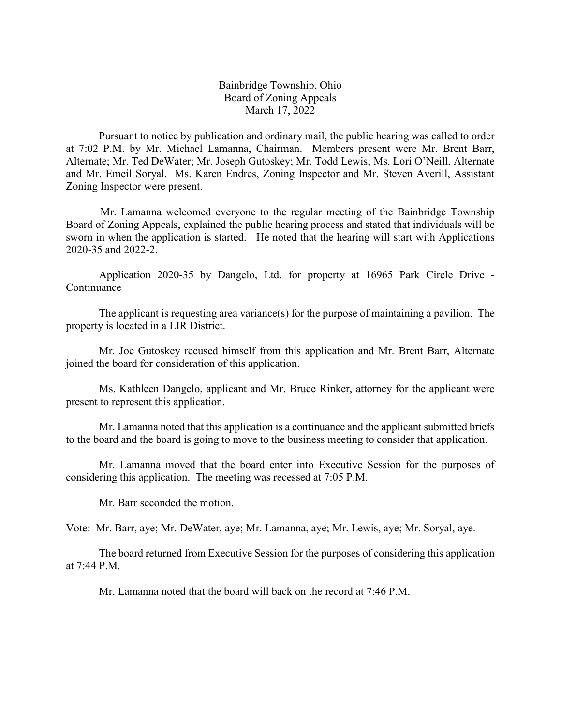Bainbridge Township, Ohio Board of Zoning Appeals March 17, 2022

Pursuant to notice by publication and ordinary mail, the public hearing was called to order at 7:02 P.M. by Mr. Michael Lamanna, Chairman. Members present were Mr. Brent Barr, Alternate; Mr. Ted DeWater; Mr. Joseph Gutoskey; Mr. Todd Lewis; Ms. Lori O'Neill, Alternate and Mr. Emeil Soryal. Ms. Karen Endres, Zoning Inspector and Mr. Steven Averill, Assistant Zoning Inspector were present.

Mr. Lamanna welcomed everyone to the regular meeting of the Bainbridge Township Board of Zoning Appeals, explained the public hearing process and stated that individuals will be sworn in when the application is started. He noted that the hearing will start with Applications 2020-35 and 2022-2.

Application 2020-35 by Dangelo, Ltd. for property at 16965 Park Circle Drive - Continuance

The applicant is requesting area variance(s) for the purpose of maintaining a pavilion. The property is located in a LIR District.

Mr. Joe Gutoskey recused himself from this application and Mr. Brent Barr, Alternate joined the board for consideration of this application.

Ms. Kathleen Dangelo, applicant and Mr. Bruce Rinker, attorney for the applicant were present to represent this application.

Mr. Lamanna noted that this application is a continuance and the applicant submitted briefs to the board and the board is going to move to the business meeting to consider that application.

Mr. Lamanna moved that the board enter into Executive Session for the purposes of considering this application. The meeting was recessed at 7:05 P.M.

Mr. Barr seconded the motion.

Vote: Mr. Barr, aye; Mr. DeWater, aye; Mr. Lamanna, aye; Mr. Lewis, aye; Mr. Soryal, aye.

The board returned from Executive Session for the purposes of considering this application at 7:44 P.M.

Mr. Lamanna noted that the board will back on the record at 7:46 P.M.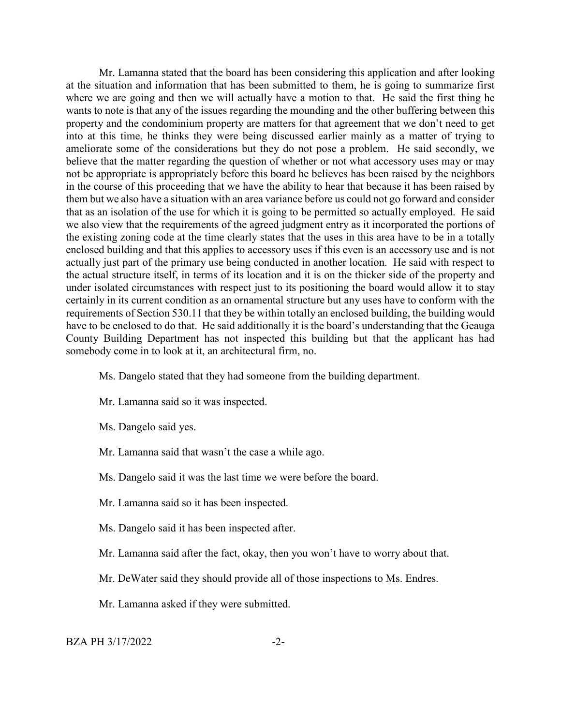Mr. Lamanna stated that the board has been considering this application and after looking at the situation and information that has been submitted to them, he is going to summarize first where we are going and then we will actually have a motion to that. He said the first thing he wants to note is that any of the issues regarding the mounding and the other buffering between this property and the condominium property are matters for that agreement that we don't need to get into at this time, he thinks they were being discussed earlier mainly as a matter of trying to ameliorate some of the considerations but they do not pose a problem. He said secondly, we believe that the matter regarding the question of whether or not what accessory uses may or may not be appropriate is appropriately before this board he believes has been raised by the neighbors in the course of this proceeding that we have the ability to hear that because it has been raised by them but we also have a situation with an area variance before us could not go forward and consider that as an isolation of the use for which it is going to be permitted so actually employed. He said we also view that the requirements of the agreed judgment entry as it incorporated the portions of the existing zoning code at the time clearly states that the uses in this area have to be in a totally enclosed building and that this applies to accessory uses if this even is an accessory use and is not actually just part of the primary use being conducted in another location. He said with respect to the actual structure itself, in terms of its location and it is on the thicker side of the property and under isolated circumstances with respect just to its positioning the board would allow it to stay certainly in its current condition as an ornamental structure but any uses have to conform with the requirements of Section 530.11 that they be within totally an enclosed building, the building would have to be enclosed to do that. He said additionally it is the board's understanding that the Geauga County Building Department has not inspected this building but that the applicant has had somebody come in to look at it, an architectural firm, no.

- Ms. Dangelo stated that they had someone from the building department.
- Mr. Lamanna said so it was inspected.
- Ms. Dangelo said yes.
- Mr. Lamanna said that wasn't the case a while ago.
- Ms. Dangelo said it was the last time we were before the board.
- Mr. Lamanna said so it has been inspected.
- Ms. Dangelo said it has been inspected after.
- Mr. Lamanna said after the fact, okay, then you won't have to worry about that.
- Mr. DeWater said they should provide all of those inspections to Ms. Endres.
- Mr. Lamanna asked if they were submitted.

## $BZA PH 3/17/2022$   $-2$ -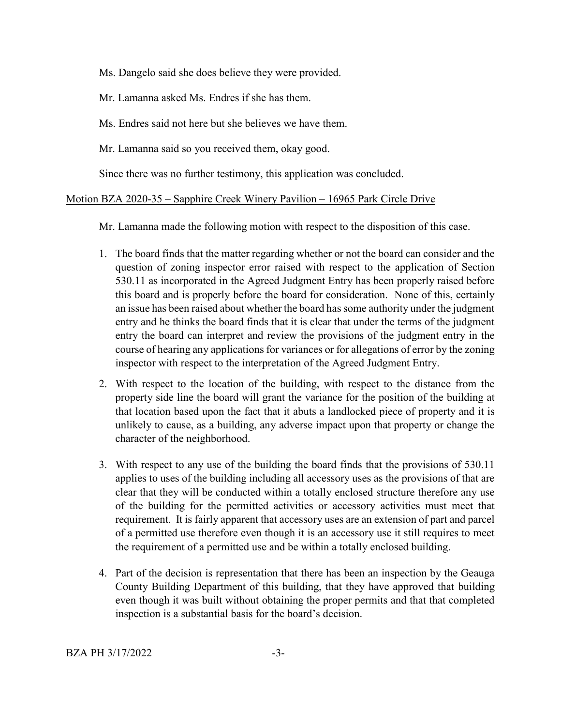Ms. Dangelo said she does believe they were provided.

Mr. Lamanna asked Ms. Endres if she has them.

Ms. Endres said not here but she believes we have them.

Mr. Lamanna said so you received them, okay good.

Since there was no further testimony, this application was concluded.

# Motion BZA 2020-35 – Sapphire Creek Winery Pavilion – 16965 Park Circle Drive

Mr. Lamanna made the following motion with respect to the disposition of this case.

- 1. The board finds that the matter regarding whether or not the board can consider and the question of zoning inspector error raised with respect to the application of Section 530.11 as incorporated in the Agreed Judgment Entry has been properly raised before this board and is properly before the board for consideration. None of this, certainly an issue has been raised about whether the board has some authority under the judgment entry and he thinks the board finds that it is clear that under the terms of the judgment entry the board can interpret and review the provisions of the judgment entry in the course of hearing any applications for variances or for allegations of error by the zoning inspector with respect to the interpretation of the Agreed Judgment Entry.
- 2. With respect to the location of the building, with respect to the distance from the property side line the board will grant the variance for the position of the building at that location based upon the fact that it abuts a landlocked piece of property and it is unlikely to cause, as a building, any adverse impact upon that property or change the character of the neighborhood.
- 3. With respect to any use of the building the board finds that the provisions of 530.11 applies to uses of the building including all accessory uses as the provisions of that are clear that they will be conducted within a totally enclosed structure therefore any use of the building for the permitted activities or accessory activities must meet that requirement. It is fairly apparent that accessory uses are an extension of part and parcel of a permitted use therefore even though it is an accessory use it still requires to meet the requirement of a permitted use and be within a totally enclosed building.
- 4. Part of the decision is representation that there has been an inspection by the Geauga County Building Department of this building, that they have approved that building even though it was built without obtaining the proper permits and that that completed inspection is a substantial basis for the board's decision.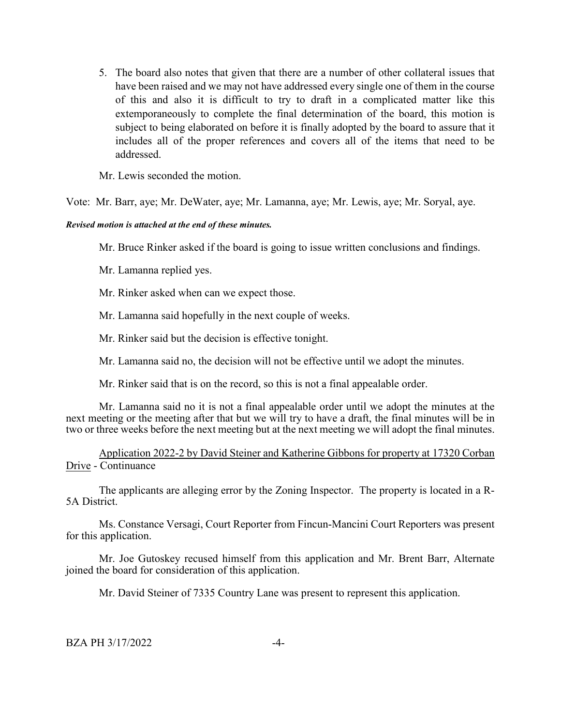5. The board also notes that given that there are a number of other collateral issues that have been raised and we may not have addressed every single one of them in the course of this and also it is difficult to try to draft in a complicated matter like this extemporaneously to complete the final determination of the board, this motion is subject to being elaborated on before it is finally adopted by the board to assure that it includes all of the proper references and covers all of the items that need to be addressed.

Mr. Lewis seconded the motion.

Vote: Mr. Barr, aye; Mr. DeWater, aye; Mr. Lamanna, aye; Mr. Lewis, aye; Mr. Soryal, aye.

## *Revised motion is attached at the end of these minutes.*

Mr. Bruce Rinker asked if the board is going to issue written conclusions and findings.

Mr. Lamanna replied yes.

Mr. Rinker asked when can we expect those.

Mr. Lamanna said hopefully in the next couple of weeks.

Mr. Rinker said but the decision is effective tonight.

Mr. Lamanna said no, the decision will not be effective until we adopt the minutes.

Mr. Rinker said that is on the record, so this is not a final appealable order.

Mr. Lamanna said no it is not a final appealable order until we adopt the minutes at the next meeting or the meeting after that but we will try to have a draft, the final minutes will be in two or three weeks before the next meeting but at the next meeting we will adopt the final minutes.

Application 2022-2 by David Steiner and Katherine Gibbons for property at 17320 Corban Drive - Continuance

The applicants are alleging error by the Zoning Inspector. The property is located in a R-5A District.

Ms. Constance Versagi, Court Reporter from Fincun-Mancini Court Reporters was present for this application.

Mr. Joe Gutoskey recused himself from this application and Mr. Brent Barr, Alternate joined the board for consideration of this application.

Mr. David Steiner of 7335 Country Lane was present to represent this application.

BZA PH 3/17/2022 -4-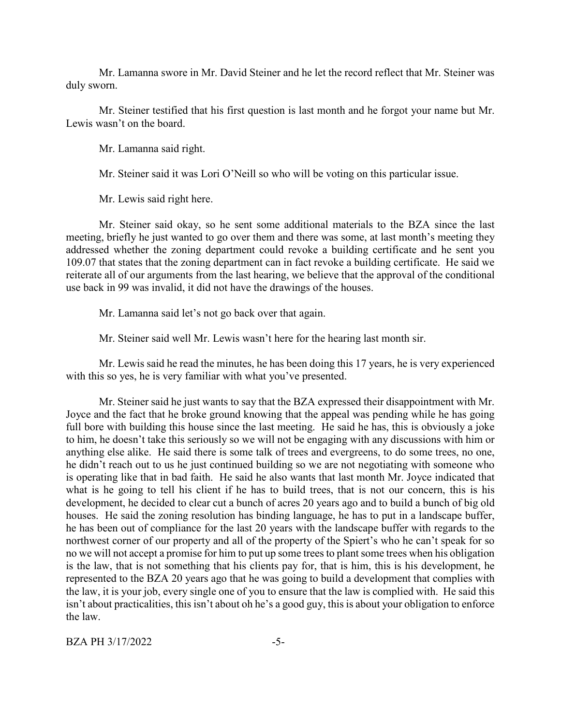Mr. Lamanna swore in Mr. David Steiner and he let the record reflect that Mr. Steiner was duly sworn.

Mr. Steiner testified that his first question is last month and he forgot your name but Mr. Lewis wasn't on the board.

Mr. Lamanna said right.

Mr. Steiner said it was Lori O'Neill so who will be voting on this particular issue.

Mr. Lewis said right here.

Mr. Steiner said okay, so he sent some additional materials to the BZA since the last meeting, briefly he just wanted to go over them and there was some, at last month's meeting they addressed whether the zoning department could revoke a building certificate and he sent you 109.07 that states that the zoning department can in fact revoke a building certificate. He said we reiterate all of our arguments from the last hearing, we believe that the approval of the conditional use back in 99 was invalid, it did not have the drawings of the houses.

Mr. Lamanna said let's not go back over that again.

Mr. Steiner said well Mr. Lewis wasn't here for the hearing last month sir.

Mr. Lewis said he read the minutes, he has been doing this 17 years, he is very experienced with this so yes, he is very familiar with what you've presented.

Mr. Steiner said he just wants to say that the BZA expressed their disappointment with Mr. Joyce and the fact that he broke ground knowing that the appeal was pending while he has going full bore with building this house since the last meeting. He said he has, this is obviously a joke to him, he doesn't take this seriously so we will not be engaging with any discussions with him or anything else alike. He said there is some talk of trees and evergreens, to do some trees, no one, he didn't reach out to us he just continued building so we are not negotiating with someone who is operating like that in bad faith. He said he also wants that last month Mr. Joyce indicated that what is he going to tell his client if he has to build trees, that is not our concern, this is his development, he decided to clear cut a bunch of acres 20 years ago and to build a bunch of big old houses. He said the zoning resolution has binding language, he has to put in a landscape buffer, he has been out of compliance for the last 20 years with the landscape buffer with regards to the northwest corner of our property and all of the property of the Spiert's who he can't speak for so no we will not accept a promise for him to put up some trees to plant some trees when his obligation is the law, that is not something that his clients pay for, that is him, this is his development, he represented to the BZA 20 years ago that he was going to build a development that complies with the law, it is your job, every single one of you to ensure that the law is complied with. He said this isn't about practicalities, this isn't about oh he's a good guy, this is about your obligation to enforce the law.

 $BZA PH 3/17/2022$   $-5-$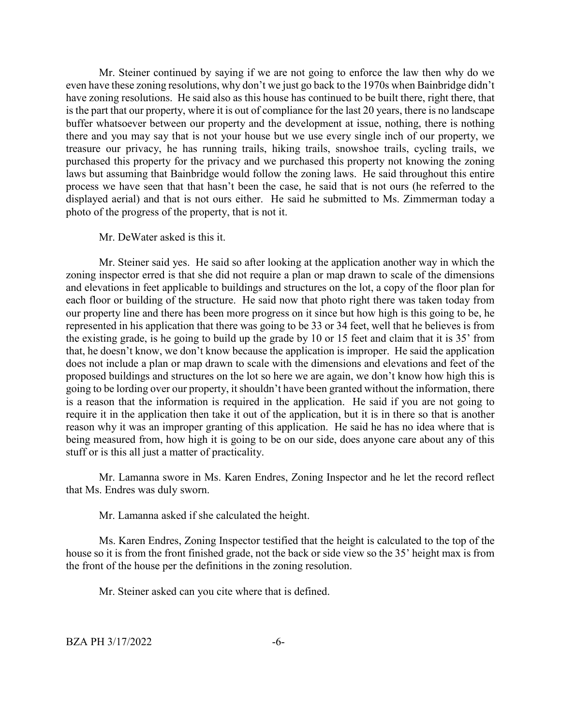Mr. Steiner continued by saying if we are not going to enforce the law then why do we even have these zoning resolutions, why don't we just go back to the 1970s when Bainbridge didn't have zoning resolutions. He said also as this house has continued to be built there, right there, that is the part that our property, where it is out of compliance for the last 20 years, there is no landscape buffer whatsoever between our property and the development at issue, nothing, there is nothing there and you may say that is not your house but we use every single inch of our property, we treasure our privacy, he has running trails, hiking trails, snowshoe trails, cycling trails, we purchased this property for the privacy and we purchased this property not knowing the zoning laws but assuming that Bainbridge would follow the zoning laws. He said throughout this entire process we have seen that that hasn't been the case, he said that is not ours (he referred to the displayed aerial) and that is not ours either. He said he submitted to Ms. Zimmerman today a photo of the progress of the property, that is not it.

Mr. DeWater asked is this it.

Mr. Steiner said yes. He said so after looking at the application another way in which the zoning inspector erred is that she did not require a plan or map drawn to scale of the dimensions and elevations in feet applicable to buildings and structures on the lot, a copy of the floor plan for each floor or building of the structure. He said now that photo right there was taken today from our property line and there has been more progress on it since but how high is this going to be, he represented in his application that there was going to be 33 or 34 feet, well that he believes is from the existing grade, is he going to build up the grade by 10 or 15 feet and claim that it is 35' from that, he doesn't know, we don't know because the application is improper. He said the application does not include a plan or map drawn to scale with the dimensions and elevations and feet of the proposed buildings and structures on the lot so here we are again, we don't know how high this is going to be lording over our property, it shouldn't have been granted without the information, there is a reason that the information is required in the application. He said if you are not going to require it in the application then take it out of the application, but it is in there so that is another reason why it was an improper granting of this application. He said he has no idea where that is being measured from, how high it is going to be on our side, does anyone care about any of this stuff or is this all just a matter of practicality.

Mr. Lamanna swore in Ms. Karen Endres, Zoning Inspector and he let the record reflect that Ms. Endres was duly sworn.

Mr. Lamanna asked if she calculated the height.

Ms. Karen Endres, Zoning Inspector testified that the height is calculated to the top of the house so it is from the front finished grade, not the back or side view so the 35' height max is from the front of the house per the definitions in the zoning resolution.

Mr. Steiner asked can you cite where that is defined.

BZA PH 3/17/2022 -6-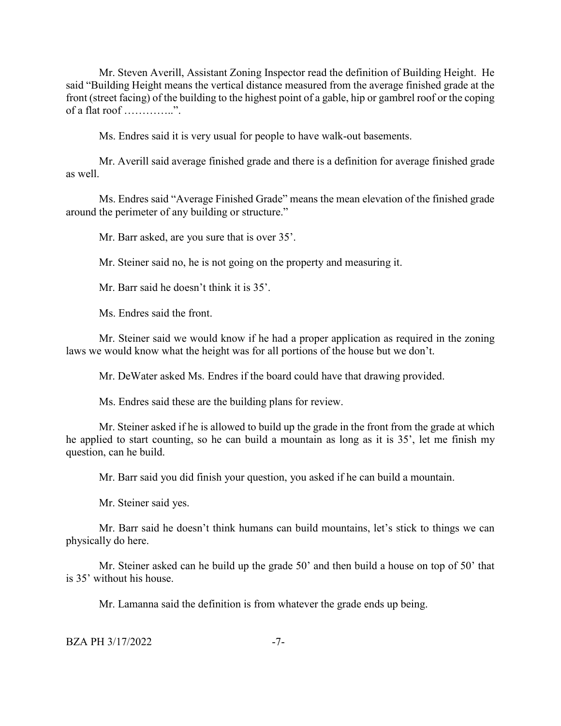Mr. Steven Averill, Assistant Zoning Inspector read the definition of Building Height. He said "Building Height means the vertical distance measured from the average finished grade at the front (street facing) of the building to the highest point of a gable, hip or gambrel roof or the coping of a flat roof …………..".

Ms. Endres said it is very usual for people to have walk-out basements.

Mr. Averill said average finished grade and there is a definition for average finished grade as well.

Ms. Endres said "Average Finished Grade" means the mean elevation of the finished grade around the perimeter of any building or structure."

Mr. Barr asked, are you sure that is over 35'.

Mr. Steiner said no, he is not going on the property and measuring it.

Mr. Barr said he doesn't think it is 35'.

Ms. Endres said the front.

Mr. Steiner said we would know if he had a proper application as required in the zoning laws we would know what the height was for all portions of the house but we don't.

Mr. DeWater asked Ms. Endres if the board could have that drawing provided.

Ms. Endres said these are the building plans for review.

Mr. Steiner asked if he is allowed to build up the grade in the front from the grade at which he applied to start counting, so he can build a mountain as long as it is 35', let me finish my question, can he build.

Mr. Barr said you did finish your question, you asked if he can build a mountain.

Mr. Steiner said yes.

Mr. Barr said he doesn't think humans can build mountains, let's stick to things we can physically do here.

Mr. Steiner asked can he build up the grade 50' and then build a house on top of 50' that is 35' without his house.

Mr. Lamanna said the definition is from whatever the grade ends up being.

BZA PH 3/17/2022 -7-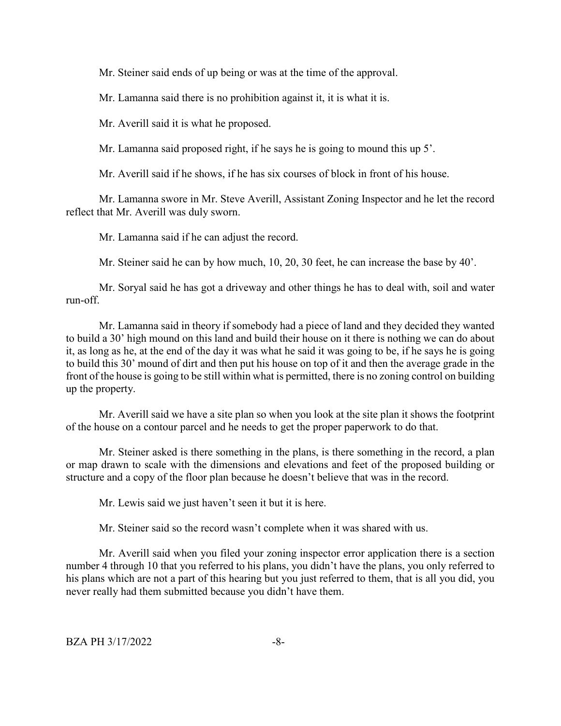Mr. Steiner said ends of up being or was at the time of the approval.

Mr. Lamanna said there is no prohibition against it, it is what it is.

Mr. Averill said it is what he proposed.

Mr. Lamanna said proposed right, if he says he is going to mound this up 5'.

Mr. Averill said if he shows, if he has six courses of block in front of his house.

Mr. Lamanna swore in Mr. Steve Averill, Assistant Zoning Inspector and he let the record reflect that Mr. Averill was duly sworn.

Mr. Lamanna said if he can adjust the record.

Mr. Steiner said he can by how much, 10, 20, 30 feet, he can increase the base by 40'.

Mr. Soryal said he has got a driveway and other things he has to deal with, soil and water run-off.

Mr. Lamanna said in theory if somebody had a piece of land and they decided they wanted to build a 30' high mound on this land and build their house on it there is nothing we can do about it, as long as he, at the end of the day it was what he said it was going to be, if he says he is going to build this 30' mound of dirt and then put his house on top of it and then the average grade in the front of the house is going to be still within what is permitted, there is no zoning control on building up the property.

Mr. Averill said we have a site plan so when you look at the site plan it shows the footprint of the house on a contour parcel and he needs to get the proper paperwork to do that.

Mr. Steiner asked is there something in the plans, is there something in the record, a plan or map drawn to scale with the dimensions and elevations and feet of the proposed building or structure and a copy of the floor plan because he doesn't believe that was in the record.

Mr. Lewis said we just haven't seen it but it is here.

Mr. Steiner said so the record wasn't complete when it was shared with us.

Mr. Averill said when you filed your zoning inspector error application there is a section number 4 through 10 that you referred to his plans, you didn't have the plans, you only referred to his plans which are not a part of this hearing but you just referred to them, that is all you did, you never really had them submitted because you didn't have them.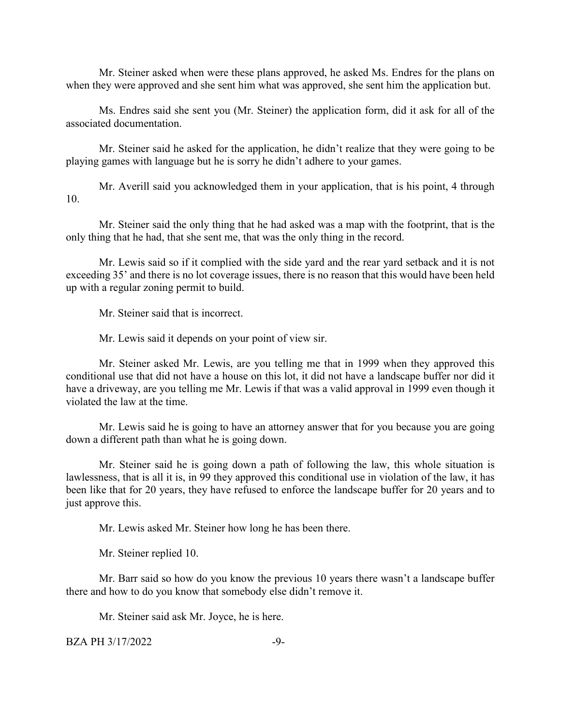Mr. Steiner asked when were these plans approved, he asked Ms. Endres for the plans on when they were approved and she sent him what was approved, she sent him the application but.

Ms. Endres said she sent you (Mr. Steiner) the application form, did it ask for all of the associated documentation.

Mr. Steiner said he asked for the application, he didn't realize that they were going to be playing games with language but he is sorry he didn't adhere to your games.

Mr. Averill said you acknowledged them in your application, that is his point, 4 through 10.

Mr. Steiner said the only thing that he had asked was a map with the footprint, that is the only thing that he had, that she sent me, that was the only thing in the record.

Mr. Lewis said so if it complied with the side yard and the rear yard setback and it is not exceeding 35' and there is no lot coverage issues, there is no reason that this would have been held up with a regular zoning permit to build.

Mr. Steiner said that is incorrect.

Mr. Lewis said it depends on your point of view sir.

Mr. Steiner asked Mr. Lewis, are you telling me that in 1999 when they approved this conditional use that did not have a house on this lot, it did not have a landscape buffer nor did it have a driveway, are you telling me Mr. Lewis if that was a valid approval in 1999 even though it violated the law at the time.

Mr. Lewis said he is going to have an attorney answer that for you because you are going down a different path than what he is going down.

Mr. Steiner said he is going down a path of following the law, this whole situation is lawlessness, that is all it is, in 99 they approved this conditional use in violation of the law, it has been like that for 20 years, they have refused to enforce the landscape buffer for 20 years and to just approve this.

Mr. Lewis asked Mr. Steiner how long he has been there.

Mr. Steiner replied 10.

Mr. Barr said so how do you know the previous 10 years there wasn't a landscape buffer there and how to do you know that somebody else didn't remove it.

Mr. Steiner said ask Mr. Joyce, he is here.

 $BZA PH 3/17/2022$   $-9-$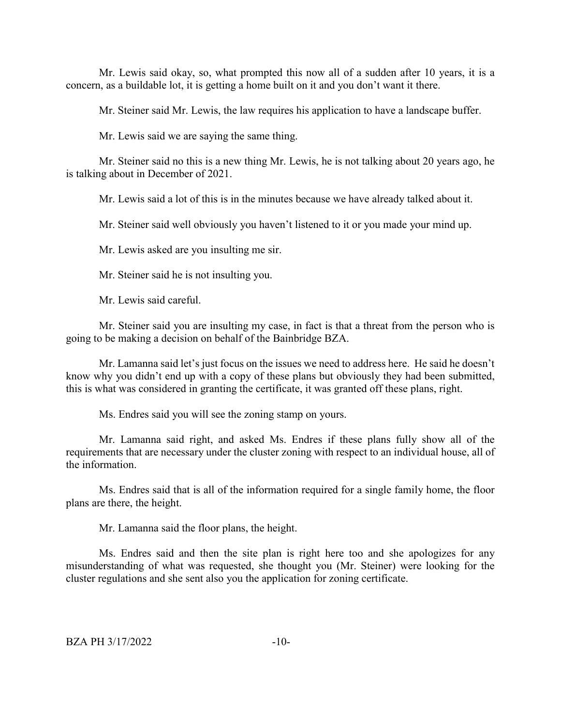Mr. Lewis said okay, so, what prompted this now all of a sudden after 10 years, it is a concern, as a buildable lot, it is getting a home built on it and you don't want it there.

Mr. Steiner said Mr. Lewis, the law requires his application to have a landscape buffer.

Mr. Lewis said we are saying the same thing.

Mr. Steiner said no this is a new thing Mr. Lewis, he is not talking about 20 years ago, he is talking about in December of 2021.

Mr. Lewis said a lot of this is in the minutes because we have already talked about it.

Mr. Steiner said well obviously you haven't listened to it or you made your mind up.

Mr. Lewis asked are you insulting me sir.

Mr. Steiner said he is not insulting you.

Mr. Lewis said careful.

Mr. Steiner said you are insulting my case, in fact is that a threat from the person who is going to be making a decision on behalf of the Bainbridge BZA.

Mr. Lamanna said let's just focus on the issues we need to address here. He said he doesn't know why you didn't end up with a copy of these plans but obviously they had been submitted, this is what was considered in granting the certificate, it was granted off these plans, right.

Ms. Endres said you will see the zoning stamp on yours.

Mr. Lamanna said right, and asked Ms. Endres if these plans fully show all of the requirements that are necessary under the cluster zoning with respect to an individual house, all of the information.

Ms. Endres said that is all of the information required for a single family home, the floor plans are there, the height.

Mr. Lamanna said the floor plans, the height.

Ms. Endres said and then the site plan is right here too and she apologizes for any misunderstanding of what was requested, she thought you (Mr. Steiner) were looking for the cluster regulations and she sent also you the application for zoning certificate.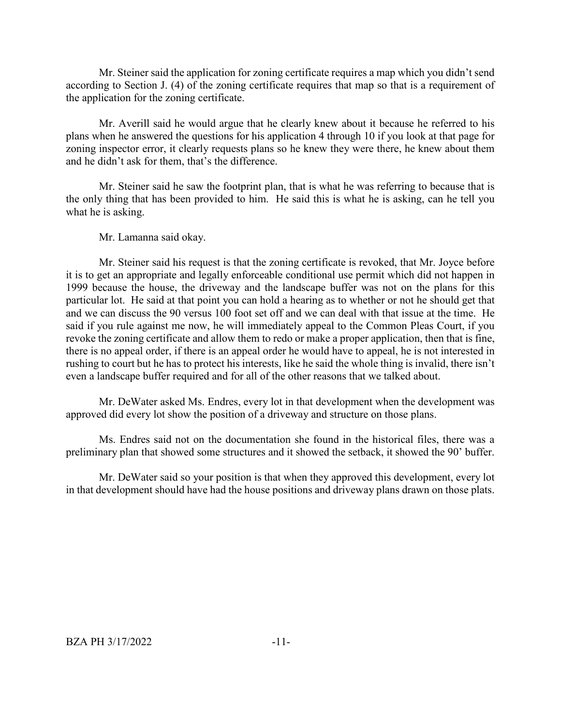Mr. Steiner said the application for zoning certificate requires a map which you didn't send according to Section J. (4) of the zoning certificate requires that map so that is a requirement of the application for the zoning certificate.

Mr. Averill said he would argue that he clearly knew about it because he referred to his plans when he answered the questions for his application 4 through 10 if you look at that page for zoning inspector error, it clearly requests plans so he knew they were there, he knew about them and he didn't ask for them, that's the difference.

Mr. Steiner said he saw the footprint plan, that is what he was referring to because that is the only thing that has been provided to him. He said this is what he is asking, can he tell you what he is asking.

Mr. Lamanna said okay.

Mr. Steiner said his request is that the zoning certificate is revoked, that Mr. Joyce before it is to get an appropriate and legally enforceable conditional use permit which did not happen in 1999 because the house, the driveway and the landscape buffer was not on the plans for this particular lot. He said at that point you can hold a hearing as to whether or not he should get that and we can discuss the 90 versus 100 foot set off and we can deal with that issue at the time. He said if you rule against me now, he will immediately appeal to the Common Pleas Court, if you revoke the zoning certificate and allow them to redo or make a proper application, then that is fine, there is no appeal order, if there is an appeal order he would have to appeal, he is not interested in rushing to court but he has to protect his interests, like he said the whole thing is invalid, there isn't even a landscape buffer required and for all of the other reasons that we talked about.

Mr. DeWater asked Ms. Endres, every lot in that development when the development was approved did every lot show the position of a driveway and structure on those plans.

Ms. Endres said not on the documentation she found in the historical files, there was a preliminary plan that showed some structures and it showed the setback, it showed the 90' buffer.

Mr. DeWater said so your position is that when they approved this development, every lot in that development should have had the house positions and driveway plans drawn on those plats.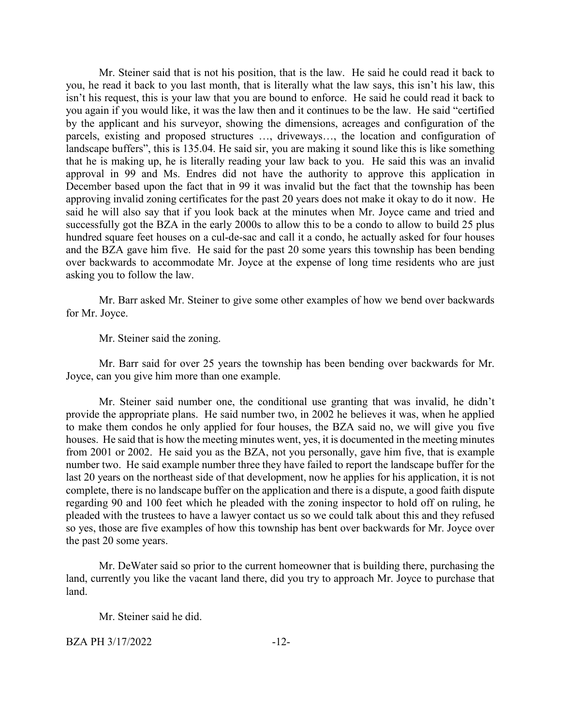Mr. Steiner said that is not his position, that is the law. He said he could read it back to you, he read it back to you last month, that is literally what the law says, this isn't his law, this isn't his request, this is your law that you are bound to enforce. He said he could read it back to you again if you would like, it was the law then and it continues to be the law. He said "certified by the applicant and his surveyor, showing the dimensions, acreages and configuration of the parcels, existing and proposed structures …, driveways…, the location and configuration of landscape buffers", this is 135.04. He said sir, you are making it sound like this is like something that he is making up, he is literally reading your law back to you. He said this was an invalid approval in 99 and Ms. Endres did not have the authority to approve this application in December based upon the fact that in 99 it was invalid but the fact that the township has been approving invalid zoning certificates for the past 20 years does not make it okay to do it now. He said he will also say that if you look back at the minutes when Mr. Joyce came and tried and successfully got the BZA in the early 2000s to allow this to be a condo to allow to build 25 plus hundred square feet houses on a cul-de-sac and call it a condo, he actually asked for four houses and the BZA gave him five. He said for the past 20 some years this township has been bending over backwards to accommodate Mr. Joyce at the expense of long time residents who are just asking you to follow the law.

Mr. Barr asked Mr. Steiner to give some other examples of how we bend over backwards for Mr. Joyce.

Mr. Steiner said the zoning.

Mr. Barr said for over 25 years the township has been bending over backwards for Mr. Joyce, can you give him more than one example.

Mr. Steiner said number one, the conditional use granting that was invalid, he didn't provide the appropriate plans. He said number two, in 2002 he believes it was, when he applied to make them condos he only applied for four houses, the BZA said no, we will give you five houses. He said that is how the meeting minutes went, yes, it is documented in the meeting minutes from 2001 or 2002. He said you as the BZA, not you personally, gave him five, that is example number two. He said example number three they have failed to report the landscape buffer for the last 20 years on the northeast side of that development, now he applies for his application, it is not complete, there is no landscape buffer on the application and there is a dispute, a good faith dispute regarding 90 and 100 feet which he pleaded with the zoning inspector to hold off on ruling, he pleaded with the trustees to have a lawyer contact us so we could talk about this and they refused so yes, those are five examples of how this township has bent over backwards for Mr. Joyce over the past 20 some years.

Mr. DeWater said so prior to the current homeowner that is building there, purchasing the land, currently you like the vacant land there, did you try to approach Mr. Joyce to purchase that land.

Mr. Steiner said he did.

BZA PH 3/17/2022 -12-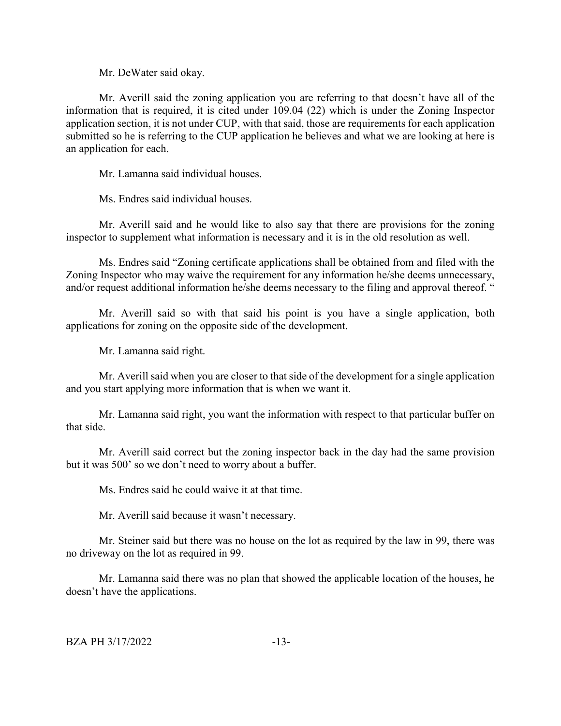Mr. DeWater said okay.

Mr. Averill said the zoning application you are referring to that doesn't have all of the information that is required, it is cited under 109.04 (22) which is under the Zoning Inspector application section, it is not under CUP, with that said, those are requirements for each application submitted so he is referring to the CUP application he believes and what we are looking at here is an application for each.

Mr. Lamanna said individual houses.

Ms. Endres said individual houses.

Mr. Averill said and he would like to also say that there are provisions for the zoning inspector to supplement what information is necessary and it is in the old resolution as well.

Ms. Endres said "Zoning certificate applications shall be obtained from and filed with the Zoning Inspector who may waive the requirement for any information he/she deems unnecessary, and/or request additional information he/she deems necessary to the filing and approval thereof. "

Mr. Averill said so with that said his point is you have a single application, both applications for zoning on the opposite side of the development.

Mr. Lamanna said right.

Mr. Averill said when you are closer to that side of the development for a single application and you start applying more information that is when we want it.

Mr. Lamanna said right, you want the information with respect to that particular buffer on that side.

Mr. Averill said correct but the zoning inspector back in the day had the same provision but it was 500' so we don't need to worry about a buffer.

Ms. Endres said he could waive it at that time.

Mr. Averill said because it wasn't necessary.

Mr. Steiner said but there was no house on the lot as required by the law in 99, there was no driveway on the lot as required in 99.

Mr. Lamanna said there was no plan that showed the applicable location of the houses, he doesn't have the applications.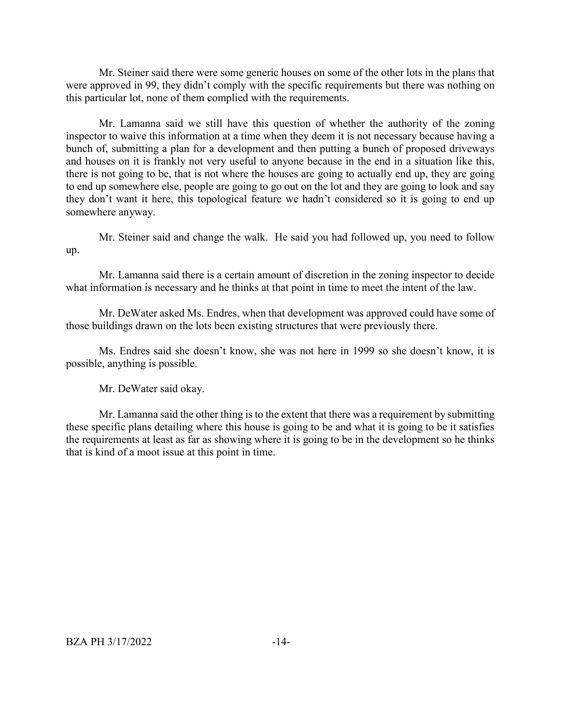Mr. Steiner said there were some generic houses on some of the other lots in the plans that were approved in 99, they didn't comply with the specific requirements but there was nothing on this particular lot, none of them complied with the requirements.

Mr. Lamanna said we still have this question of whether the authority of the zoning inspector to waive this information at a time when they deem it is not necessary because having a bunch of, submitting a plan for a development and then putting a bunch of proposed driveways and houses on it is frankly not very useful to anyone because in the end in a situation like this, there is not going to be, that is not where the houses are going to actually end up, they are going to end up somewhere else, people are going to go out on the lot and they are going to look and say they don't want it here, this topological feature we hadn't considered so it is going to end up somewhere anyway.

Mr. Steiner said and change the walk. He said you had followed up, you need to follow up.

Mr. Lamanna said there is a certain amount of discretion in the zoning inspector to decide what information is necessary and he thinks at that point in time to meet the intent of the law.

Mr. DeWater asked Ms. Endres, when that development was approved could have some of those buildings drawn on the lots been existing structures that were previously there.

Ms. Endres said she doesn't know, she was not here in 1999 so she doesn't know, it is possible, anything is possible.

Mr. DeWater said okay.

Mr. Lamanna said the other thing is to the extent that there was a requirement by submitting these specific plans detailing where this house is going to be and what it is going to be it satisfies the requirements at least as far as showing where it is going to be in the development so he thinks that is kind of a moot issue at this point in time.

BZA PH 3/17/2022 -14-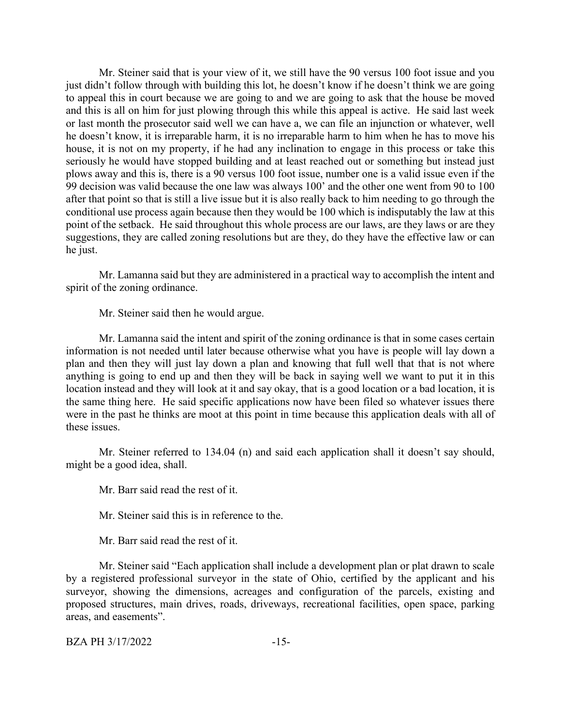Mr. Steiner said that is your view of it, we still have the 90 versus 100 foot issue and you just didn't follow through with building this lot, he doesn't know if he doesn't think we are going to appeal this in court because we are going to and we are going to ask that the house be moved and this is all on him for just plowing through this while this appeal is active. He said last week or last month the prosecutor said well we can have a, we can file an injunction or whatever, well he doesn't know, it is irreparable harm, it is no irreparable harm to him when he has to move his house, it is not on my property, if he had any inclination to engage in this process or take this seriously he would have stopped building and at least reached out or something but instead just plows away and this is, there is a 90 versus 100 foot issue, number one is a valid issue even if the 99 decision was valid because the one law was always 100' and the other one went from 90 to 100 after that point so that is still a live issue but it is also really back to him needing to go through the conditional use process again because then they would be 100 which is indisputably the law at this point of the setback. He said throughout this whole process are our laws, are they laws or are they suggestions, they are called zoning resolutions but are they, do they have the effective law or can he just.

Mr. Lamanna said but they are administered in a practical way to accomplish the intent and spirit of the zoning ordinance.

Mr. Steiner said then he would argue.

Mr. Lamanna said the intent and spirit of the zoning ordinance is that in some cases certain information is not needed until later because otherwise what you have is people will lay down a plan and then they will just lay down a plan and knowing that full well that that is not where anything is going to end up and then they will be back in saying well we want to put it in this location instead and they will look at it and say okay, that is a good location or a bad location, it is the same thing here. He said specific applications now have been filed so whatever issues there were in the past he thinks are moot at this point in time because this application deals with all of these issues.

Mr. Steiner referred to 134.04 (n) and said each application shall it doesn't say should, might be a good idea, shall.

Mr. Barr said read the rest of it.

Mr. Steiner said this is in reference to the.

Mr. Barr said read the rest of it.

Mr. Steiner said "Each application shall include a development plan or plat drawn to scale by a registered professional surveyor in the state of Ohio, certified by the applicant and his surveyor, showing the dimensions, acreages and configuration of the parcels, existing and proposed structures, main drives, roads, driveways, recreational facilities, open space, parking areas, and easements".

BZA PH 3/17/2022 -15-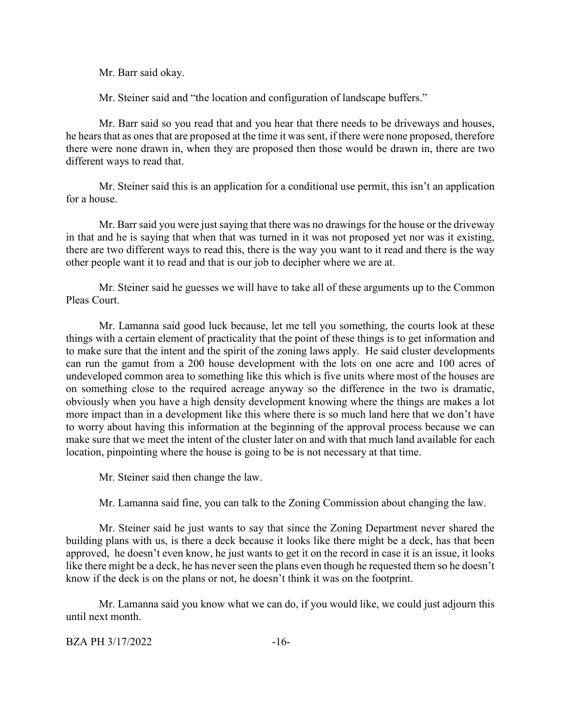Mr. Barr said okay.

Mr. Steiner said and "the location and configuration of landscape buffers."

Mr. Barr said so you read that and you hear that there needs to be driveways and houses, he hears that as ones that are proposed at the time it was sent, if there were none proposed, therefore there were none drawn in, when they are proposed then those would be drawn in, there are two different ways to read that.

Mr. Steiner said this is an application for a conditional use permit, this isn't an application for a house.

Mr. Barr said you were just saying that there was no drawings for the house or the driveway in that and he is saying that when that was turned in it was not proposed yet nor was it existing, there are two different ways to read this, there is the way you want to it read and there is the way other people want it to read and that is our job to decipher where we are at.

Mr. Steiner said he guesses we will have to take all of these arguments up to the Common Pleas Court.

Mr. Lamanna said good luck because, let me tell you something, the courts look at these things with a certain element of practicality that the point of these things is to get information and to make sure that the intent and the spirit of the zoning laws apply. He said cluster developments can run the gamut from a 200 house development with the lots on one acre and 100 acres of undeveloped common area to something like this which is five units where most of the houses are on something close to the required acreage anyway so the difference in the two is dramatic, obviously when you have a high density development knowing where the things are makes a lot more impact than in a development like this where there is so much land here that we don't have to worry about having this information at the beginning of the approval process because we can make sure that we meet the intent of the cluster later on and with that much land available for each location, pinpointing where the house is going to be is not necessary at that time.

Mr. Steiner said then change the law.

Mr. Lamanna said fine, you can talk to the Zoning Commission about changing the law.

Mr. Steiner said he just wants to say that since the Zoning Department never shared the building plans with us, is there a deck because it looks like there might be a deck, has that been approved, he doesn't even know, he just wants to get it on the record in case it is an issue, it looks like there might be a deck, he has never seen the plans even though he requested them so he doesn't know if the deck is on the plans or not, he doesn't think it was on the footprint.

Mr. Lamanna said you know what we can do, if you would like, we could just adjourn this until next month.

```
BZA PH 3/17/2022 -16-
```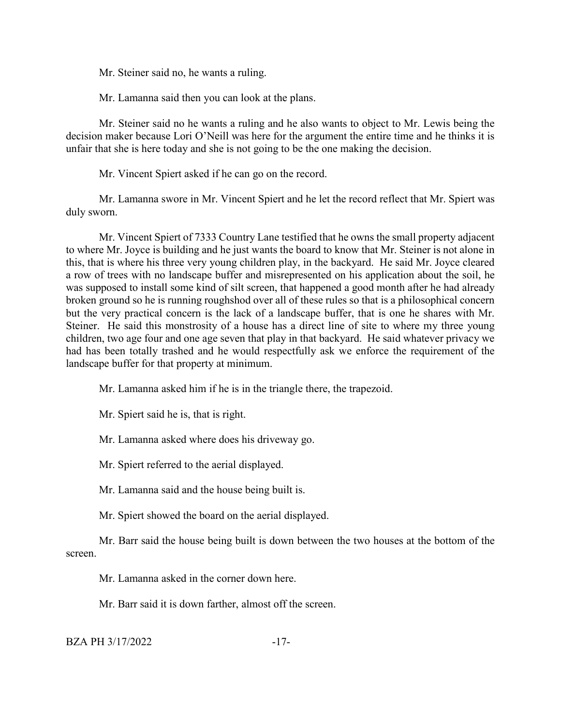Mr. Steiner said no, he wants a ruling.

Mr. Lamanna said then you can look at the plans.

Mr. Steiner said no he wants a ruling and he also wants to object to Mr. Lewis being the decision maker because Lori O'Neill was here for the argument the entire time and he thinks it is unfair that she is here today and she is not going to be the one making the decision.

Mr. Vincent Spiert asked if he can go on the record.

Mr. Lamanna swore in Mr. Vincent Spiert and he let the record reflect that Mr. Spiert was duly sworn.

Mr. Vincent Spiert of 7333 Country Lane testified that he owns the small property adjacent to where Mr. Joyce is building and he just wants the board to know that Mr. Steiner is not alone in this, that is where his three very young children play, in the backyard. He said Mr. Joyce cleared a row of trees with no landscape buffer and misrepresented on his application about the soil, he was supposed to install some kind of silt screen, that happened a good month after he had already broken ground so he is running roughshod over all of these rules so that is a philosophical concern but the very practical concern is the lack of a landscape buffer, that is one he shares with Mr. Steiner. He said this monstrosity of a house has a direct line of site to where my three young children, two age four and one age seven that play in that backyard. He said whatever privacy we had has been totally trashed and he would respectfully ask we enforce the requirement of the landscape buffer for that property at minimum.

Mr. Lamanna asked him if he is in the triangle there, the trapezoid.

Mr. Spiert said he is, that is right.

Mr. Lamanna asked where does his driveway go.

Mr. Spiert referred to the aerial displayed.

Mr. Lamanna said and the house being built is.

Mr. Spiert showed the board on the aerial displayed.

Mr. Barr said the house being built is down between the two houses at the bottom of the screen.

Mr. Lamanna asked in the corner down here.

Mr. Barr said it is down farther, almost off the screen.

BZA PH 3/17/2022 -17-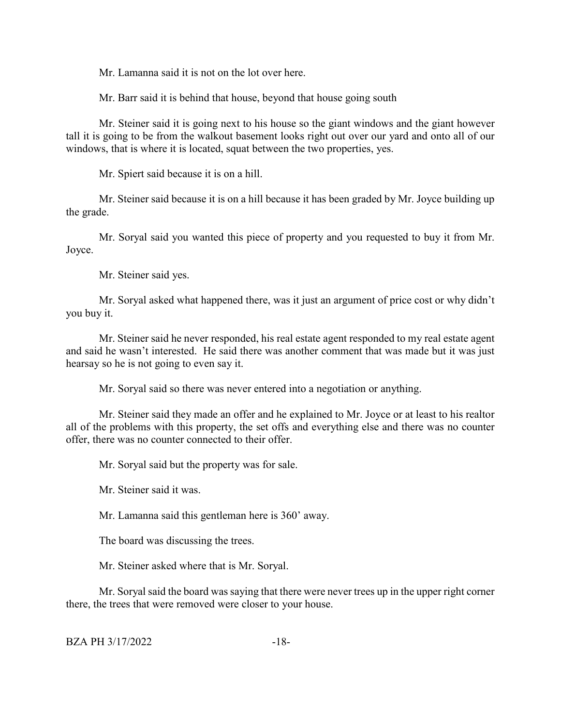Mr. Lamanna said it is not on the lot over here.

Mr. Barr said it is behind that house, beyond that house going south

Mr. Steiner said it is going next to his house so the giant windows and the giant however tall it is going to be from the walkout basement looks right out over our yard and onto all of our windows, that is where it is located, squat between the two properties, yes.

Mr. Spiert said because it is on a hill.

Mr. Steiner said because it is on a hill because it has been graded by Mr. Joyce building up the grade.

Mr. Soryal said you wanted this piece of property and you requested to buy it from Mr. Joyce.

Mr. Steiner said yes.

Mr. Soryal asked what happened there, was it just an argument of price cost or why didn't you buy it.

Mr. Steiner said he never responded, his real estate agent responded to my real estate agent and said he wasn't interested. He said there was another comment that was made but it was just hearsay so he is not going to even say it.

Mr. Soryal said so there was never entered into a negotiation or anything.

Mr. Steiner said they made an offer and he explained to Mr. Joyce or at least to his realtor all of the problems with this property, the set offs and everything else and there was no counter offer, there was no counter connected to their offer.

Mr. Soryal said but the property was for sale.

Mr. Steiner said it was.

Mr. Lamanna said this gentleman here is 360' away.

The board was discussing the trees.

Mr. Steiner asked where that is Mr. Soryal.

Mr. Soryal said the board was saying that there were never trees up in the upper right corner there, the trees that were removed were closer to your house.

BZA PH 3/17/2022 -18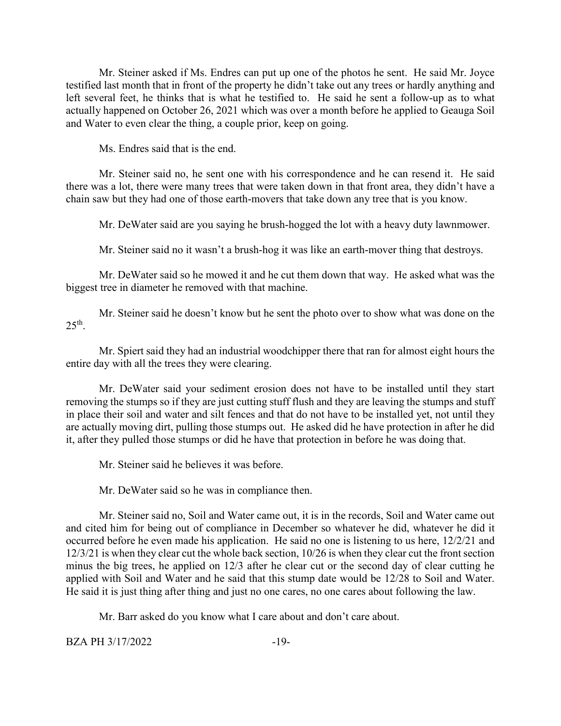Mr. Steiner asked if Ms. Endres can put up one of the photos he sent. He said Mr. Joyce testified last month that in front of the property he didn't take out any trees or hardly anything and left several feet, he thinks that is what he testified to. He said he sent a follow-up as to what actually happened on October 26, 2021 which was over a month before he applied to Geauga Soil and Water to even clear the thing, a couple prior, keep on going.

Ms. Endres said that is the end.

Mr. Steiner said no, he sent one with his correspondence and he can resend it. He said there was a lot, there were many trees that were taken down in that front area, they didn't have a chain saw but they had one of those earth-movers that take down any tree that is you know.

Mr. DeWater said are you saying he brush-hogged the lot with a heavy duty lawnmower.

Mr. Steiner said no it wasn't a brush-hog it was like an earth-mover thing that destroys.

Mr. DeWater said so he mowed it and he cut them down that way. He asked what was the biggest tree in diameter he removed with that machine.

Mr. Steiner said he doesn't know but he sent the photo over to show what was done on the  $25<sup>th</sup>$ .

Mr. Spiert said they had an industrial woodchipper there that ran for almost eight hours the entire day with all the trees they were clearing.

Mr. DeWater said your sediment erosion does not have to be installed until they start removing the stumps so if they are just cutting stuff flush and they are leaving the stumps and stuff in place their soil and water and silt fences and that do not have to be installed yet, not until they are actually moving dirt, pulling those stumps out. He asked did he have protection in after he did it, after they pulled those stumps or did he have that protection in before he was doing that.

Mr. Steiner said he believes it was before.

Mr. DeWater said so he was in compliance then.

Mr. Steiner said no, Soil and Water came out, it is in the records, Soil and Water came out and cited him for being out of compliance in December so whatever he did, whatever he did it occurred before he even made his application. He said no one is listening to us here, 12/2/21 and 12/3/21 is when they clear cut the whole back section, 10/26 is when they clear cut the front section minus the big trees, he applied on 12/3 after he clear cut or the second day of clear cutting he applied with Soil and Water and he said that this stump date would be 12/28 to Soil and Water. He said it is just thing after thing and just no one cares, no one cares about following the law.

Mr. Barr asked do you know what I care about and don't care about.

BZA PH 3/17/2022 -19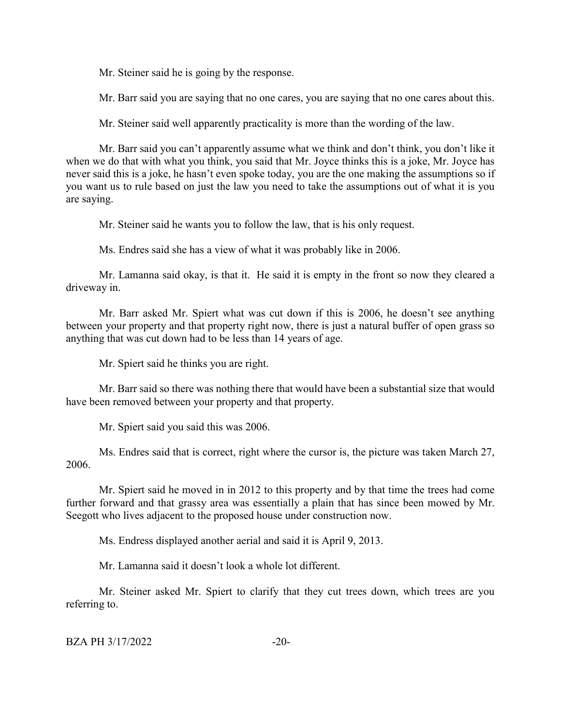Mr. Steiner said he is going by the response.

Mr. Barr said you are saying that no one cares, you are saying that no one cares about this.

Mr. Steiner said well apparently practicality is more than the wording of the law.

Mr. Barr said you can't apparently assume what we think and don't think, you don't like it when we do that with what you think, you said that Mr. Joyce thinks this is a joke, Mr. Joyce has never said this is a joke, he hasn't even spoke today, you are the one making the assumptions so if you want us to rule based on just the law you need to take the assumptions out of what it is you are saying.

Mr. Steiner said he wants you to follow the law, that is his only request.

Ms. Endres said she has a view of what it was probably like in 2006.

Mr. Lamanna said okay, is that it. He said it is empty in the front so now they cleared a driveway in.

Mr. Barr asked Mr. Spiert what was cut down if this is 2006, he doesn't see anything between your property and that property right now, there is just a natural buffer of open grass so anything that was cut down had to be less than 14 years of age.

Mr. Spiert said he thinks you are right.

Mr. Barr said so there was nothing there that would have been a substantial size that would have been removed between your property and that property.

Mr. Spiert said you said this was 2006.

Ms. Endres said that is correct, right where the cursor is, the picture was taken March 27, 2006.

Mr. Spiert said he moved in in 2012 to this property and by that time the trees had come further forward and that grassy area was essentially a plain that has since been mowed by Mr. Seegott who lives adjacent to the proposed house under construction now.

Ms. Endress displayed another aerial and said it is April 9, 2013.

Mr. Lamanna said it doesn't look a whole lot different.

Mr. Steiner asked Mr. Spiert to clarify that they cut trees down, which trees are you referring to.

BZA PH 3/17/2022 -20-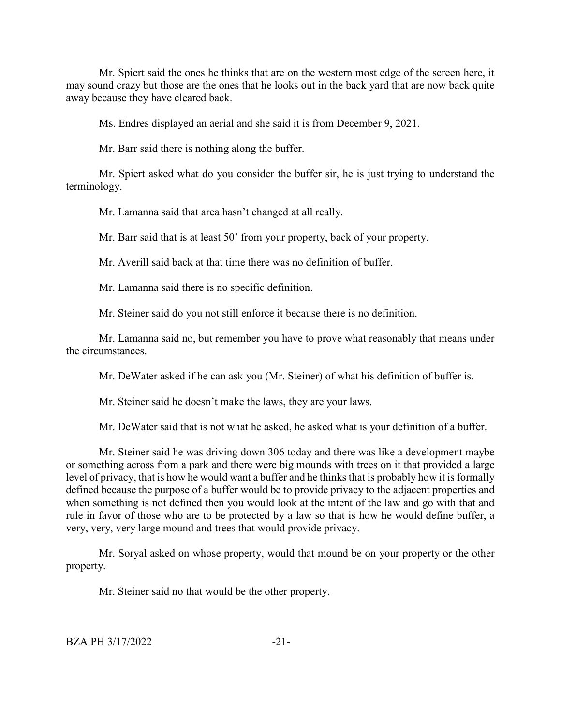Mr. Spiert said the ones he thinks that are on the western most edge of the screen here, it may sound crazy but those are the ones that he looks out in the back yard that are now back quite away because they have cleared back.

Ms. Endres displayed an aerial and she said it is from December 9, 2021.

Mr. Barr said there is nothing along the buffer.

Mr. Spiert asked what do you consider the buffer sir, he is just trying to understand the terminology.

Mr. Lamanna said that area hasn't changed at all really.

Mr. Barr said that is at least 50' from your property, back of your property.

Mr. Averill said back at that time there was no definition of buffer.

Mr. Lamanna said there is no specific definition.

Mr. Steiner said do you not still enforce it because there is no definition.

Mr. Lamanna said no, but remember you have to prove what reasonably that means under the circumstances.

Mr. DeWater asked if he can ask you (Mr. Steiner) of what his definition of buffer is.

Mr. Steiner said he doesn't make the laws, they are your laws.

Mr. DeWater said that is not what he asked, he asked what is your definition of a buffer.

Mr. Steiner said he was driving down 306 today and there was like a development maybe or something across from a park and there were big mounds with trees on it that provided a large level of privacy, that is how he would want a buffer and he thinks that is probably how it is formally defined because the purpose of a buffer would be to provide privacy to the adjacent properties and when something is not defined then you would look at the intent of the law and go with that and rule in favor of those who are to be protected by a law so that is how he would define buffer, a very, very, very large mound and trees that would provide privacy.

Mr. Soryal asked on whose property, would that mound be on your property or the other property.

Mr. Steiner said no that would be the other property.

BZA PH 3/17/2022 -21-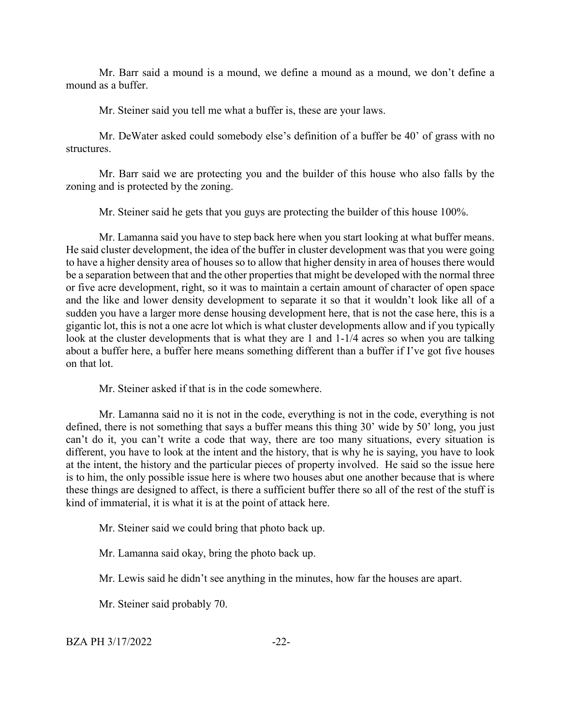Mr. Barr said a mound is a mound, we define a mound as a mound, we don't define a mound as a buffer.

Mr. Steiner said you tell me what a buffer is, these are your laws.

Mr. DeWater asked could somebody else's definition of a buffer be 40' of grass with no structures.

Mr. Barr said we are protecting you and the builder of this house who also falls by the zoning and is protected by the zoning.

Mr. Steiner said he gets that you guys are protecting the builder of this house 100%.

Mr. Lamanna said you have to step back here when you start looking at what buffer means. He said cluster development, the idea of the buffer in cluster development was that you were going to have a higher density area of houses so to allow that higher density in area of houses there would be a separation between that and the other properties that might be developed with the normal three or five acre development, right, so it was to maintain a certain amount of character of open space and the like and lower density development to separate it so that it wouldn't look like all of a sudden you have a larger more dense housing development here, that is not the case here, this is a gigantic lot, this is not a one acre lot which is what cluster developments allow and if you typically look at the cluster developments that is what they are 1 and 1-1/4 acres so when you are talking about a buffer here, a buffer here means something different than a buffer if I've got five houses on that lot.

Mr. Steiner asked if that is in the code somewhere.

Mr. Lamanna said no it is not in the code, everything is not in the code, everything is not defined, there is not something that says a buffer means this thing 30' wide by 50' long, you just can't do it, you can't write a code that way, there are too many situations, every situation is different, you have to look at the intent and the history, that is why he is saying, you have to look at the intent, the history and the particular pieces of property involved. He said so the issue here is to him, the only possible issue here is where two houses abut one another because that is where these things are designed to affect, is there a sufficient buffer there so all of the rest of the stuff is kind of immaterial, it is what it is at the point of attack here.

Mr. Steiner said we could bring that photo back up.

Mr. Lamanna said okay, bring the photo back up.

Mr. Lewis said he didn't see anything in the minutes, how far the houses are apart.

Mr. Steiner said probably 70.

BZA PH 3/17/2022 -22-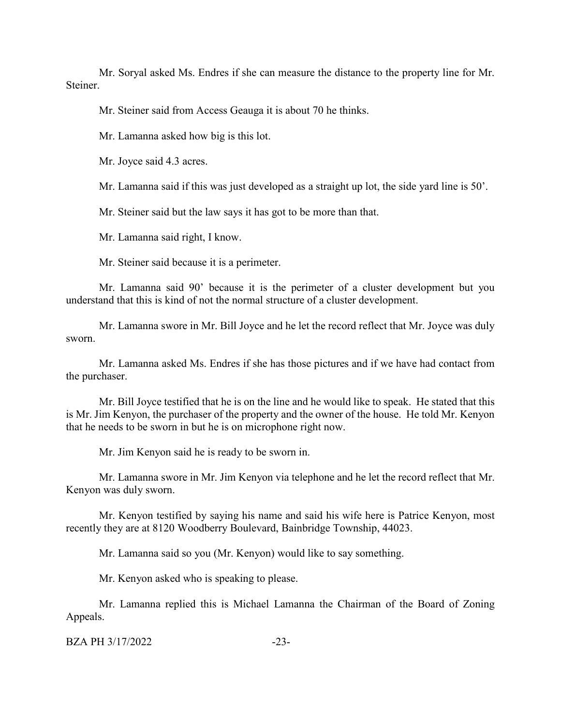Mr. Soryal asked Ms. Endres if she can measure the distance to the property line for Mr. Steiner.

Mr. Steiner said from Access Geauga it is about 70 he thinks.

Mr. Lamanna asked how big is this lot.

Mr. Joyce said 4.3 acres.

Mr. Lamanna said if this was just developed as a straight up lot, the side yard line is 50'.

Mr. Steiner said but the law says it has got to be more than that.

Mr. Lamanna said right, I know.

Mr. Steiner said because it is a perimeter.

Mr. Lamanna said 90' because it is the perimeter of a cluster development but you understand that this is kind of not the normal structure of a cluster development.

Mr. Lamanna swore in Mr. Bill Joyce and he let the record reflect that Mr. Joyce was duly sworn.

Mr. Lamanna asked Ms. Endres if she has those pictures and if we have had contact from the purchaser.

Mr. Bill Joyce testified that he is on the line and he would like to speak. He stated that this is Mr. Jim Kenyon, the purchaser of the property and the owner of the house. He told Mr. Kenyon that he needs to be sworn in but he is on microphone right now.

Mr. Jim Kenyon said he is ready to be sworn in.

Mr. Lamanna swore in Mr. Jim Kenyon via telephone and he let the record reflect that Mr. Kenyon was duly sworn.

Mr. Kenyon testified by saying his name and said his wife here is Patrice Kenyon, most recently they are at 8120 Woodberry Boulevard, Bainbridge Township, 44023.

Mr. Lamanna said so you (Mr. Kenyon) would like to say something.

Mr. Kenyon asked who is speaking to please.

Mr. Lamanna replied this is Michael Lamanna the Chairman of the Board of Zoning Appeals.

BZA PH 3/17/2022 -23-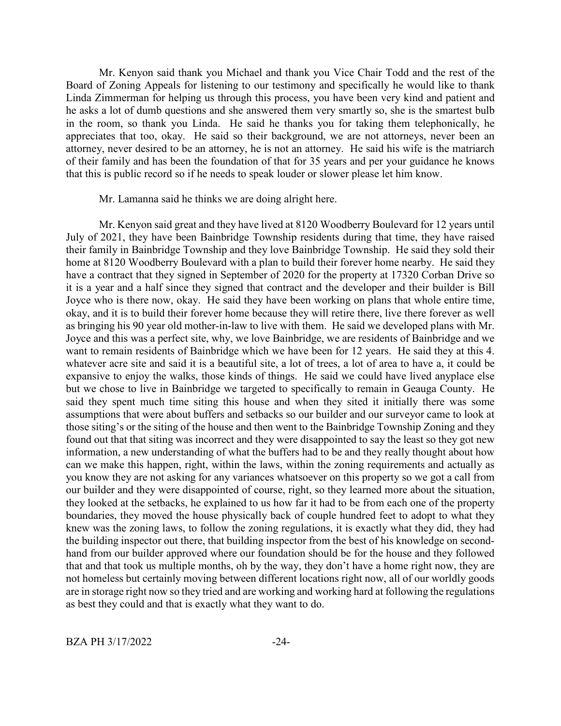Mr. Kenyon said thank you Michael and thank you Vice Chair Todd and the rest of the Board of Zoning Appeals for listening to our testimony and specifically he would like to thank Linda Zimmerman for helping us through this process, you have been very kind and patient and he asks a lot of dumb questions and she answered them very smartly so, she is the smartest bulb in the room, so thank you Linda. He said he thanks you for taking them telephonically, he appreciates that too, okay. He said so their background, we are not attorneys, never been an attorney, never desired to be an attorney, he is not an attorney. He said his wife is the matriarch of their family and has been the foundation of that for 35 years and per your guidance he knows that this is public record so if he needs to speak louder or slower please let him know.

Mr. Lamanna said he thinks we are doing alright here.

Mr. Kenyon said great and they have lived at 8120 Woodberry Boulevard for 12 years until July of 2021, they have been Bainbridge Township residents during that time, they have raised their family in Bainbridge Township and they love Bainbridge Township. He said they sold their home at 8120 Woodberry Boulevard with a plan to build their forever home nearby. He said they have a contract that they signed in September of 2020 for the property at 17320 Corban Drive so it is a year and a half since they signed that contract and the developer and their builder is Bill Joyce who is there now, okay. He said they have been working on plans that whole entire time, okay, and it is to build their forever home because they will retire there, live there forever as well as bringing his 90 year old mother-in-law to live with them. He said we developed plans with Mr. Joyce and this was a perfect site, why, we love Bainbridge, we are residents of Bainbridge and we want to remain residents of Bainbridge which we have been for 12 years. He said they at this 4. whatever acre site and said it is a beautiful site, a lot of trees, a lot of area to have a, it could be expansive to enjoy the walks, those kinds of things. He said we could have lived anyplace else but we chose to live in Bainbridge we targeted to specifically to remain in Geauga County. He said they spent much time siting this house and when they sited it initially there was some assumptions that were about buffers and setbacks so our builder and our surveyor came to look at those siting's or the siting of the house and then went to the Bainbridge Township Zoning and they found out that that siting was incorrect and they were disappointed to say the least so they got new information, a new understanding of what the buffers had to be and they really thought about how can we make this happen, right, within the laws, within the zoning requirements and actually as you know they are not asking for any variances whatsoever on this property so we got a call from our builder and they were disappointed of course, right, so they learned more about the situation, they looked at the setbacks, he explained to us how far it had to be from each one of the property boundaries, they moved the house physically back of couple hundred feet to adopt to what they knew was the zoning laws, to follow the zoning regulations, it is exactly what they did, they had the building inspector out there, that building inspector from the best of his knowledge on secondhand from our builder approved where our foundation should be for the house and they followed that and that took us multiple months, oh by the way, they don't have a home right now, they are not homeless but certainly moving between different locations right now, all of our worldly goods are in storage right now so they tried and are working and working hard at following the regulations as best they could and that is exactly what they want to do.

BZA PH 3/17/2022 -24-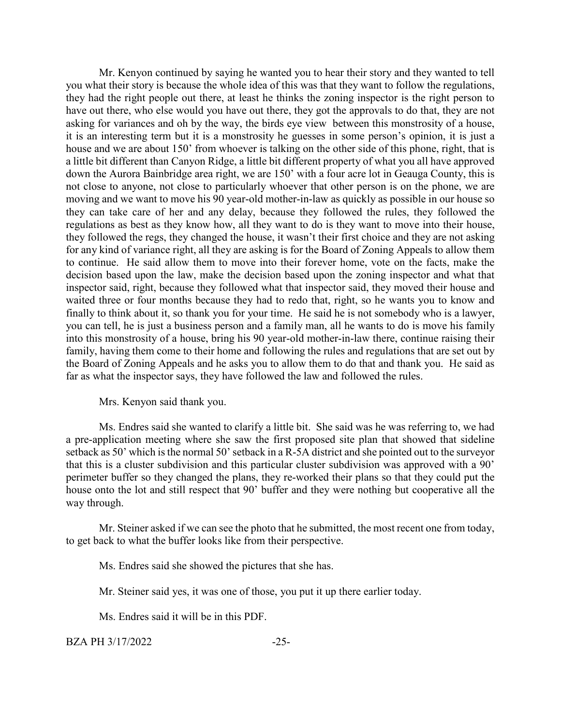Mr. Kenyon continued by saying he wanted you to hear their story and they wanted to tell you what their story is because the whole idea of this was that they want to follow the regulations, they had the right people out there, at least he thinks the zoning inspector is the right person to have out there, who else would you have out there, they got the approvals to do that, they are not asking for variances and oh by the way, the birds eye view between this monstrosity of a house, it is an interesting term but it is a monstrosity he guesses in some person's opinion, it is just a house and we are about 150' from whoever is talking on the other side of this phone, right, that is a little bit different than Canyon Ridge, a little bit different property of what you all have approved down the Aurora Bainbridge area right, we are 150' with a four acre lot in Geauga County, this is not close to anyone, not close to particularly whoever that other person is on the phone, we are moving and we want to move his 90 year-old mother-in-law as quickly as possible in our house so they can take care of her and any delay, because they followed the rules, they followed the regulations as best as they know how, all they want to do is they want to move into their house, they followed the regs, they changed the house, it wasn't their first choice and they are not asking for any kind of variance right, all they are asking is for the Board of Zoning Appeals to allow them to continue. He said allow them to move into their forever home, vote on the facts, make the decision based upon the law, make the decision based upon the zoning inspector and what that inspector said, right, because they followed what that inspector said, they moved their house and waited three or four months because they had to redo that, right, so he wants you to know and finally to think about it, so thank you for your time. He said he is not somebody who is a lawyer, you can tell, he is just a business person and a family man, all he wants to do is move his family into this monstrosity of a house, bring his 90 year-old mother-in-law there, continue raising their family, having them come to their home and following the rules and regulations that are set out by the Board of Zoning Appeals and he asks you to allow them to do that and thank you. He said as far as what the inspector says, they have followed the law and followed the rules.

#### Mrs. Kenyon said thank you.

Ms. Endres said she wanted to clarify a little bit. She said was he was referring to, we had a pre-application meeting where she saw the first proposed site plan that showed that sideline setback as 50' which is the normal 50' setback in a R-5A district and she pointed out to the surveyor that this is a cluster subdivision and this particular cluster subdivision was approved with a 90' perimeter buffer so they changed the plans, they re-worked their plans so that they could put the house onto the lot and still respect that 90' buffer and they were nothing but cooperative all the way through.

Mr. Steiner asked if we can see the photo that he submitted, the most recent one from today, to get back to what the buffer looks like from their perspective.

Ms. Endres said she showed the pictures that she has.

Mr. Steiner said yes, it was one of those, you put it up there earlier today.

Ms. Endres said it will be in this PDF.

BZA PH 3/17/2022 -25-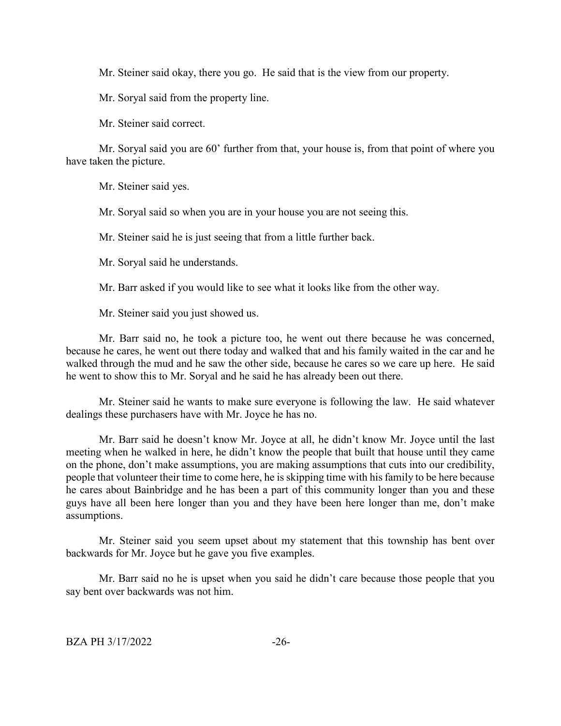Mr. Steiner said okay, there you go. He said that is the view from our property.

Mr. Soryal said from the property line.

Mr. Steiner said correct.

Mr. Soryal said you are 60' further from that, your house is, from that point of where you have taken the picture.

Mr. Steiner said yes.

Mr. Soryal said so when you are in your house you are not seeing this.

Mr. Steiner said he is just seeing that from a little further back.

Mr. Soryal said he understands.

Mr. Barr asked if you would like to see what it looks like from the other way.

Mr. Steiner said you just showed us.

Mr. Barr said no, he took a picture too, he went out there because he was concerned, because he cares, he went out there today and walked that and his family waited in the car and he walked through the mud and he saw the other side, because he cares so we care up here. He said he went to show this to Mr. Soryal and he said he has already been out there.

Mr. Steiner said he wants to make sure everyone is following the law. He said whatever dealings these purchasers have with Mr. Joyce he has no.

Mr. Barr said he doesn't know Mr. Joyce at all, he didn't know Mr. Joyce until the last meeting when he walked in here, he didn't know the people that built that house until they came on the phone, don't make assumptions, you are making assumptions that cuts into our credibility, people that volunteer their time to come here, he is skipping time with hisfamily to be here because he cares about Bainbridge and he has been a part of this community longer than you and these guys have all been here longer than you and they have been here longer than me, don't make assumptions.

Mr. Steiner said you seem upset about my statement that this township has bent over backwards for Mr. Joyce but he gave you five examples.

Mr. Barr said no he is upset when you said he didn't care because those people that you say bent over backwards was not him.

BZA PH 3/17/2022 -26-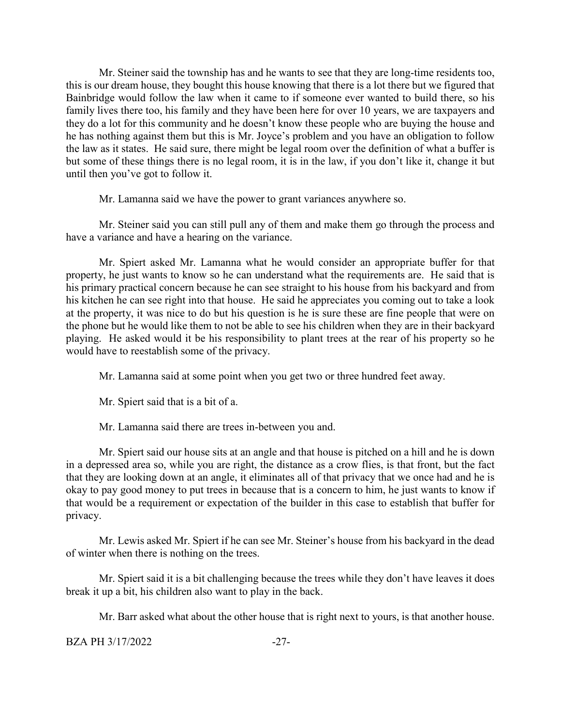Mr. Steiner said the township has and he wants to see that they are long-time residents too, this is our dream house, they bought this house knowing that there is a lot there but we figured that Bainbridge would follow the law when it came to if someone ever wanted to build there, so his family lives there too, his family and they have been here for over 10 years, we are taxpayers and they do a lot for this community and he doesn't know these people who are buying the house and he has nothing against them but this is Mr. Joyce's problem and you have an obligation to follow the law as it states. He said sure, there might be legal room over the definition of what a buffer is but some of these things there is no legal room, it is in the law, if you don't like it, change it but until then you've got to follow it.

Mr. Lamanna said we have the power to grant variances anywhere so.

Mr. Steiner said you can still pull any of them and make them go through the process and have a variance and have a hearing on the variance.

Mr. Spiert asked Mr. Lamanna what he would consider an appropriate buffer for that property, he just wants to know so he can understand what the requirements are. He said that is his primary practical concern because he can see straight to his house from his backyard and from his kitchen he can see right into that house. He said he appreciates you coming out to take a look at the property, it was nice to do but his question is he is sure these are fine people that were on the phone but he would like them to not be able to see his children when they are in their backyard playing. He asked would it be his responsibility to plant trees at the rear of his property so he would have to reestablish some of the privacy.

Mr. Lamanna said at some point when you get two or three hundred feet away.

Mr. Spiert said that is a bit of a.

Mr. Lamanna said there are trees in-between you and.

Mr. Spiert said our house sits at an angle and that house is pitched on a hill and he is down in a depressed area so, while you are right, the distance as a crow flies, is that front, but the fact that they are looking down at an angle, it eliminates all of that privacy that we once had and he is okay to pay good money to put trees in because that is a concern to him, he just wants to know if that would be a requirement or expectation of the builder in this case to establish that buffer for privacy.

Mr. Lewis asked Mr. Spiert if he can see Mr. Steiner's house from his backyard in the dead of winter when there is nothing on the trees.

Mr. Spiert said it is a bit challenging because the trees while they don't have leaves it does break it up a bit, his children also want to play in the back.

Mr. Barr asked what about the other house that is right next to yours, is that another house.

BZA PH 3/17/2022 -27-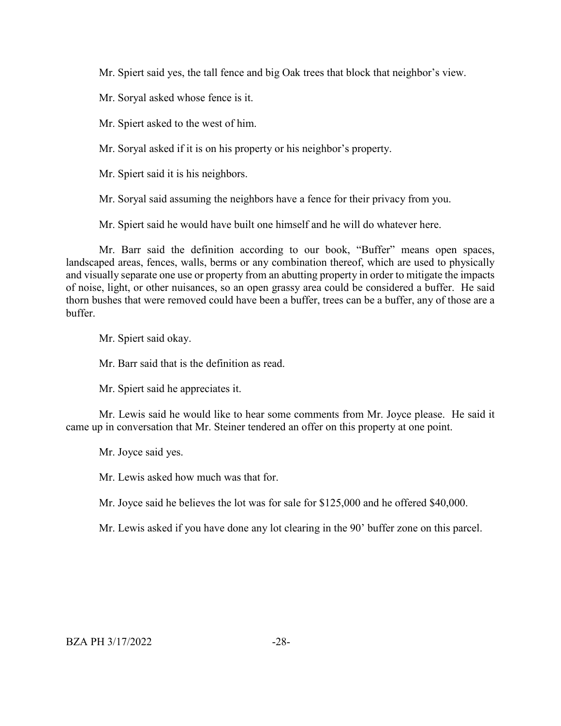Mr. Spiert said yes, the tall fence and big Oak trees that block that neighbor's view.

Mr. Soryal asked whose fence is it.

Mr. Spiert asked to the west of him.

Mr. Soryal asked if it is on his property or his neighbor's property.

Mr. Spiert said it is his neighbors.

Mr. Soryal said assuming the neighbors have a fence for their privacy from you.

Mr. Spiert said he would have built one himself and he will do whatever here.

Mr. Barr said the definition according to our book, "Buffer" means open spaces, landscaped areas, fences, walls, berms or any combination thereof, which are used to physically and visually separate one use or property from an abutting property in order to mitigate the impacts of noise, light, or other nuisances, so an open grassy area could be considered a buffer. He said thorn bushes that were removed could have been a buffer, trees can be a buffer, any of those are a buffer.

Mr. Spiert said okay.

Mr. Barr said that is the definition as read.

Mr. Spiert said he appreciates it.

Mr. Lewis said he would like to hear some comments from Mr. Joyce please. He said it came up in conversation that Mr. Steiner tendered an offer on this property at one point.

Mr. Joyce said yes.

Mr. Lewis asked how much was that for.

Mr. Joyce said he believes the lot was for sale for \$125,000 and he offered \$40,000.

Mr. Lewis asked if you have done any lot clearing in the 90' buffer zone on this parcel.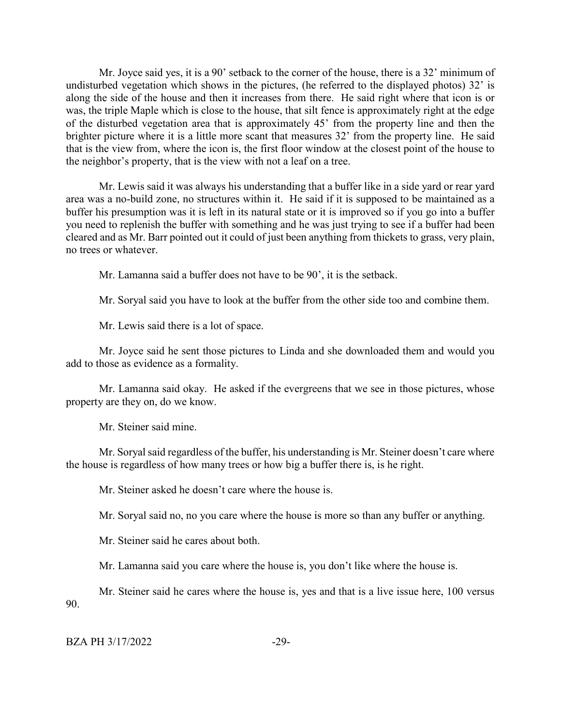Mr. Joyce said yes, it is a 90' setback to the corner of the house, there is a 32' minimum of undisturbed vegetation which shows in the pictures, (he referred to the displayed photos) 32' is along the side of the house and then it increases from there. He said right where that icon is or was, the triple Maple which is close to the house, that silt fence is approximately right at the edge of the disturbed vegetation area that is approximately 45' from the property line and then the brighter picture where it is a little more scant that measures 32' from the property line. He said that is the view from, where the icon is, the first floor window at the closest point of the house to the neighbor's property, that is the view with not a leaf on a tree.

Mr. Lewis said it was always his understanding that a buffer like in a side yard or rear yard area was a no-build zone, no structures within it. He said if it is supposed to be maintained as a buffer his presumption was it is left in its natural state or it is improved so if you go into a buffer you need to replenish the buffer with something and he was just trying to see if a buffer had been cleared and as Mr. Barr pointed out it could of just been anything from thickets to grass, very plain, no trees or whatever.

Mr. Lamanna said a buffer does not have to be 90', it is the setback.

Mr. Soryal said you have to look at the buffer from the other side too and combine them.

Mr. Lewis said there is a lot of space.

Mr. Joyce said he sent those pictures to Linda and she downloaded them and would you add to those as evidence as a formality.

Mr. Lamanna said okay. He asked if the evergreens that we see in those pictures, whose property are they on, do we know.

Mr. Steiner said mine.

Mr. Soryal said regardless of the buffer, his understanding is Mr. Steiner doesn't care where the house is regardless of how many trees or how big a buffer there is, is he right.

Mr. Steiner asked he doesn't care where the house is.

Mr. Soryal said no, no you care where the house is more so than any buffer or anything.

Mr. Steiner said he cares about both.

Mr. Lamanna said you care where the house is, you don't like where the house is.

Mr. Steiner said he cares where the house is, yes and that is a live issue here, 100 versus 90.

| BZA PH 3/17/2022 |  |
|------------------|--|
|------------------|--|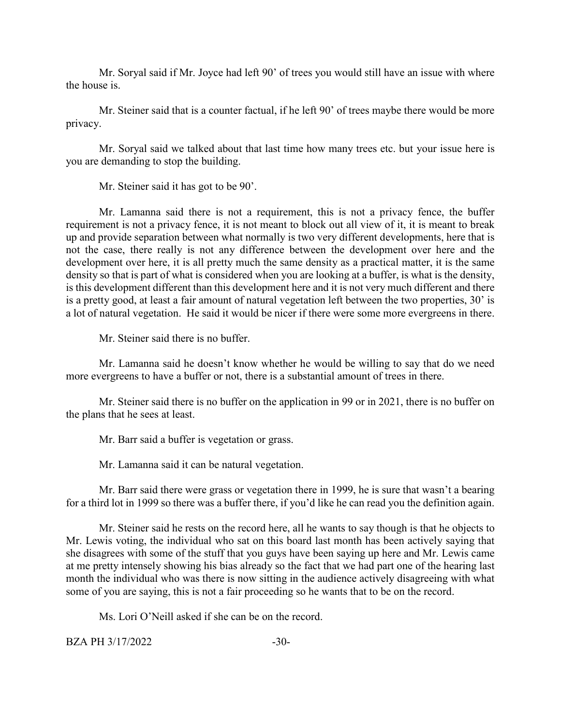Mr. Soryal said if Mr. Joyce had left 90' of trees you would still have an issue with where the house is.

Mr. Steiner said that is a counter factual, if he left 90' of trees maybe there would be more privacy.

Mr. Soryal said we talked about that last time how many trees etc. but your issue here is you are demanding to stop the building.

Mr. Steiner said it has got to be 90'.

Mr. Lamanna said there is not a requirement, this is not a privacy fence, the buffer requirement is not a privacy fence, it is not meant to block out all view of it, it is meant to break up and provide separation between what normally is two very different developments, here that is not the case, there really is not any difference between the development over here and the development over here, it is all pretty much the same density as a practical matter, it is the same density so that is part of what is considered when you are looking at a buffer, is what is the density, is this development different than this development here and it is not very much different and there is a pretty good, at least a fair amount of natural vegetation left between the two properties, 30' is a lot of natural vegetation. He said it would be nicer if there were some more evergreens in there.

Mr. Steiner said there is no buffer.

Mr. Lamanna said he doesn't know whether he would be willing to say that do we need more evergreens to have a buffer or not, there is a substantial amount of trees in there.

Mr. Steiner said there is no buffer on the application in 99 or in 2021, there is no buffer on the plans that he sees at least.

Mr. Barr said a buffer is vegetation or grass.

Mr. Lamanna said it can be natural vegetation.

Mr. Barr said there were grass or vegetation there in 1999, he is sure that wasn't a bearing for a third lot in 1999 so there was a buffer there, if you'd like he can read you the definition again.

Mr. Steiner said he rests on the record here, all he wants to say though is that he objects to Mr. Lewis voting, the individual who sat on this board last month has been actively saying that she disagrees with some of the stuff that you guys have been saying up here and Mr. Lewis came at me pretty intensely showing his bias already so the fact that we had part one of the hearing last month the individual who was there is now sitting in the audience actively disagreeing with what some of you are saying, this is not a fair proceeding so he wants that to be on the record.

Ms. Lori O'Neill asked if she can be on the record.

 $BZA PH 3/17/2022$   $-30-$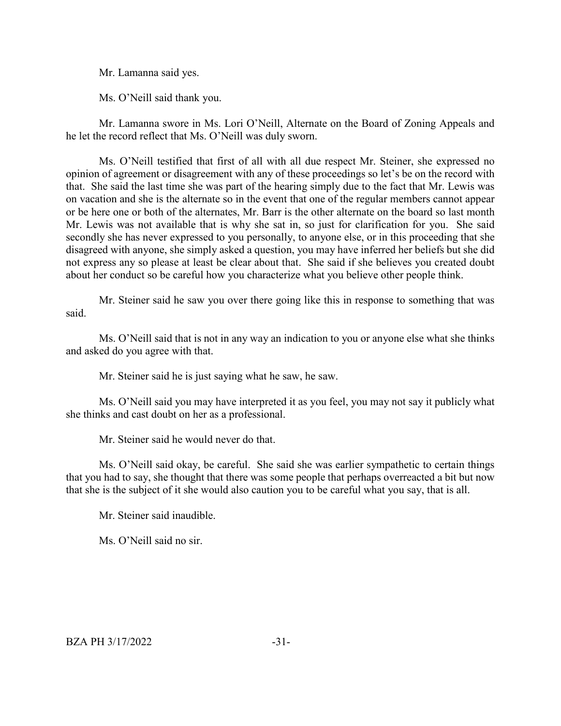Mr. Lamanna said yes.

Ms. O'Neill said thank you.

Mr. Lamanna swore in Ms. Lori O'Neill, Alternate on the Board of Zoning Appeals and he let the record reflect that Ms. O'Neill was duly sworn.

Ms. O'Neill testified that first of all with all due respect Mr. Steiner, she expressed no opinion of agreement or disagreement with any of these proceedings so let's be on the record with that. She said the last time she was part of the hearing simply due to the fact that Mr. Lewis was on vacation and she is the alternate so in the event that one of the regular members cannot appear or be here one or both of the alternates, Mr. Barr is the other alternate on the board so last month Mr. Lewis was not available that is why she sat in, so just for clarification for you. She said secondly she has never expressed to you personally, to anyone else, or in this proceeding that she disagreed with anyone, she simply asked a question, you may have inferred her beliefs but she did not express any so please at least be clear about that. She said if she believes you created doubt about her conduct so be careful how you characterize what you believe other people think.

Mr. Steiner said he saw you over there going like this in response to something that was said.

Ms. O'Neill said that is not in any way an indication to you or anyone else what she thinks and asked do you agree with that.

Mr. Steiner said he is just saying what he saw, he saw.

Ms. O'Neill said you may have interpreted it as you feel, you may not say it publicly what she thinks and cast doubt on her as a professional.

Mr. Steiner said he would never do that.

Ms. O'Neill said okay, be careful. She said she was earlier sympathetic to certain things that you had to say, she thought that there was some people that perhaps overreacted a bit but now that she is the subject of it she would also caution you to be careful what you say, that is all.

Mr. Steiner said inaudible.

Ms. O'Neill said no sir.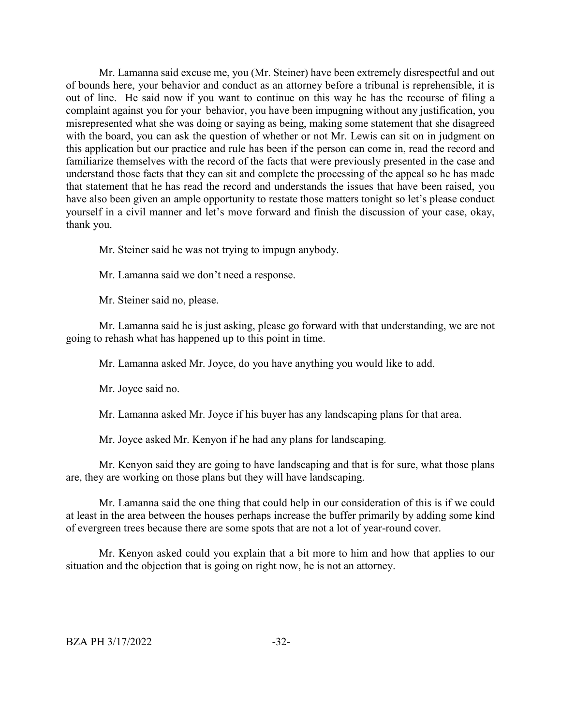Mr. Lamanna said excuse me, you (Mr. Steiner) have been extremely disrespectful and out of bounds here, your behavior and conduct as an attorney before a tribunal is reprehensible, it is out of line. He said now if you want to continue on this way he has the recourse of filing a complaint against you for your behavior, you have been impugning without any justification, you misrepresented what she was doing or saying as being, making some statement that she disagreed with the board, you can ask the question of whether or not Mr. Lewis can sit on in judgment on this application but our practice and rule has been if the person can come in, read the record and familiarize themselves with the record of the facts that were previously presented in the case and understand those facts that they can sit and complete the processing of the appeal so he has made that statement that he has read the record and understands the issues that have been raised, you have also been given an ample opportunity to restate those matters tonight so let's please conduct yourself in a civil manner and let's move forward and finish the discussion of your case, okay, thank you.

Mr. Steiner said he was not trying to impugn anybody.

Mr. Lamanna said we don't need a response.

Mr. Steiner said no, please.

Mr. Lamanna said he is just asking, please go forward with that understanding, we are not going to rehash what has happened up to this point in time.

Mr. Lamanna asked Mr. Joyce, do you have anything you would like to add.

Mr. Joyce said no.

Mr. Lamanna asked Mr. Joyce if his buyer has any landscaping plans for that area.

Mr. Joyce asked Mr. Kenyon if he had any plans for landscaping.

Mr. Kenyon said they are going to have landscaping and that is for sure, what those plans are, they are working on those plans but they will have landscaping.

Mr. Lamanna said the one thing that could help in our consideration of this is if we could at least in the area between the houses perhaps increase the buffer primarily by adding some kind of evergreen trees because there are some spots that are not a lot of year-round cover.

Mr. Kenyon asked could you explain that a bit more to him and how that applies to our situation and the objection that is going on right now, he is not an attorney.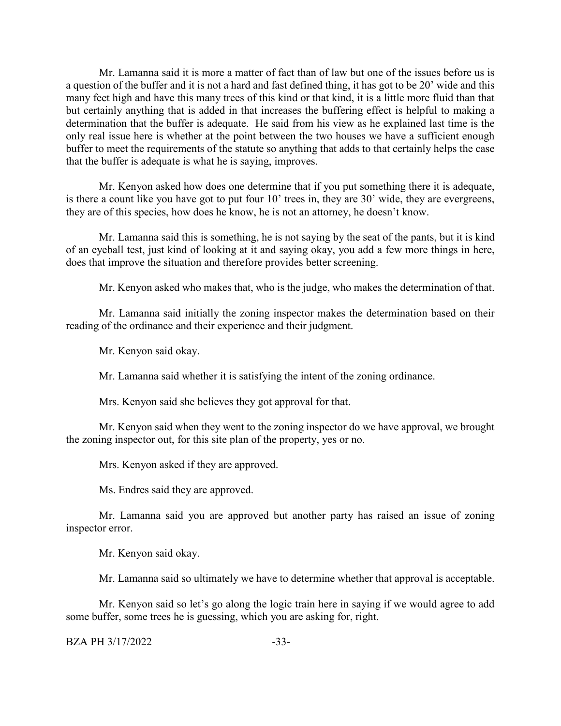Mr. Lamanna said it is more a matter of fact than of law but one of the issues before us is a question of the buffer and it is not a hard and fast defined thing, it has got to be 20' wide and this many feet high and have this many trees of this kind or that kind, it is a little more fluid than that but certainly anything that is added in that increases the buffering effect is helpful to making a determination that the buffer is adequate. He said from his view as he explained last time is the only real issue here is whether at the point between the two houses we have a sufficient enough buffer to meet the requirements of the statute so anything that adds to that certainly helps the case that the buffer is adequate is what he is saying, improves.

Mr. Kenyon asked how does one determine that if you put something there it is adequate, is there a count like you have got to put four 10' trees in, they are 30' wide, they are evergreens, they are of this species, how does he know, he is not an attorney, he doesn't know.

Mr. Lamanna said this is something, he is not saying by the seat of the pants, but it is kind of an eyeball test, just kind of looking at it and saying okay, you add a few more things in here, does that improve the situation and therefore provides better screening.

Mr. Kenyon asked who makes that, who is the judge, who makes the determination of that.

Mr. Lamanna said initially the zoning inspector makes the determination based on their reading of the ordinance and their experience and their judgment.

Mr. Kenyon said okay.

Mr. Lamanna said whether it is satisfying the intent of the zoning ordinance.

Mrs. Kenyon said she believes they got approval for that.

Mr. Kenyon said when they went to the zoning inspector do we have approval, we brought the zoning inspector out, for this site plan of the property, yes or no.

Mrs. Kenyon asked if they are approved.

Ms. Endres said they are approved.

Mr. Lamanna said you are approved but another party has raised an issue of zoning inspector error.

Mr. Kenyon said okay.

Mr. Lamanna said so ultimately we have to determine whether that approval is acceptable.

Mr. Kenyon said so let's go along the logic train here in saying if we would agree to add some buffer, some trees he is guessing, which you are asking for, right.

BZA PH 3/17/2022 -33-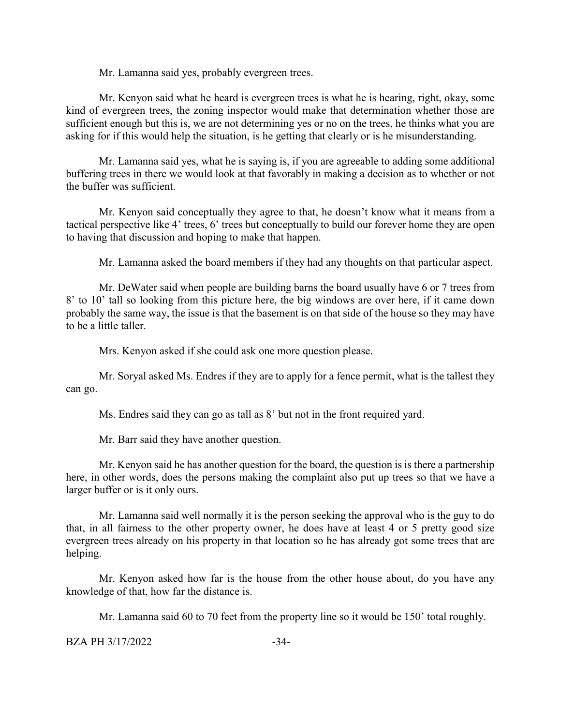Mr. Lamanna said yes, probably evergreen trees.

Mr. Kenyon said what he heard is evergreen trees is what he is hearing, right, okay, some kind of evergreen trees, the zoning inspector would make that determination whether those are sufficient enough but this is, we are not determining yes or no on the trees, he thinks what you are asking for if this would help the situation, is he getting that clearly or is he misunderstanding.

Mr. Lamanna said yes, what he is saying is, if you are agreeable to adding some additional buffering trees in there we would look at that favorably in making a decision as to whether or not the buffer was sufficient.

Mr. Kenyon said conceptually they agree to that, he doesn't know what it means from a tactical perspective like 4' trees, 6' trees but conceptually to build our forever home they are open to having that discussion and hoping to make that happen.

Mr. Lamanna asked the board members if they had any thoughts on that particular aspect.

Mr. DeWater said when people are building barns the board usually have 6 or 7 trees from 8' to 10' tall so looking from this picture here, the big windows are over here, if it came down probably the same way, the issue is that the basement is on that side of the house so they may have to be a little taller.

Mrs. Kenyon asked if she could ask one more question please.

Mr. Soryal asked Ms. Endres if they are to apply for a fence permit, what is the tallest they can go.

Ms. Endres said they can go as tall as 8' but not in the front required yard.

Mr. Barr said they have another question.

Mr. Kenyon said he has another question for the board, the question is is there a partnership here, in other words, does the persons making the complaint also put up trees so that we have a larger buffer or is it only ours.

Mr. Lamanna said well normally it is the person seeking the approval who is the guy to do that, in all fairness to the other property owner, he does have at least 4 or 5 pretty good size evergreen trees already on his property in that location so he has already got some trees that are helping.

Mr. Kenyon asked how far is the house from the other house about, do you have any knowledge of that, how far the distance is.

Mr. Lamanna said 60 to 70 feet from the property line so it would be 150' total roughly.

BZA PH 3/17/2022 -34-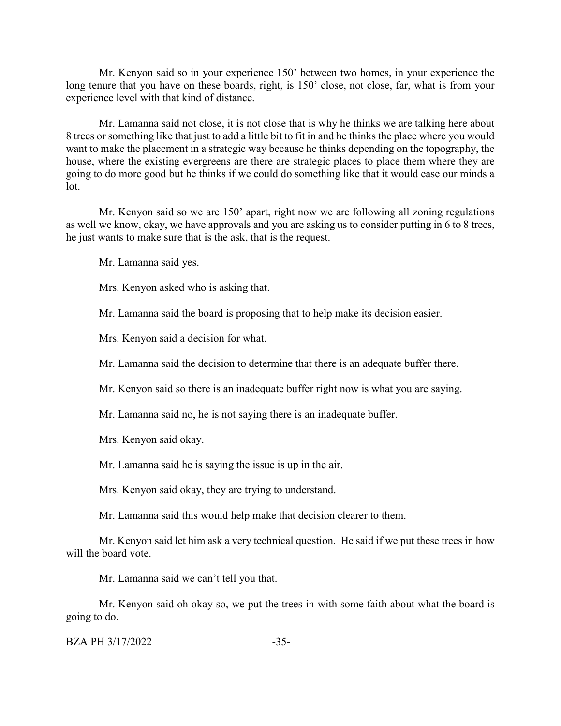Mr. Kenyon said so in your experience 150' between two homes, in your experience the long tenure that you have on these boards, right, is 150' close, not close, far, what is from your experience level with that kind of distance.

Mr. Lamanna said not close, it is not close that is why he thinks we are talking here about 8 trees or something like that just to add a little bit to fit in and he thinks the place where you would want to make the placement in a strategic way because he thinks depending on the topography, the house, where the existing evergreens are there are strategic places to place them where they are going to do more good but he thinks if we could do something like that it would ease our minds a lot.

Mr. Kenyon said so we are 150' apart, right now we are following all zoning regulations as well we know, okay, we have approvals and you are asking us to consider putting in 6 to 8 trees, he just wants to make sure that is the ask, that is the request.

Mr. Lamanna said yes.

Mrs. Kenyon asked who is asking that.

Mr. Lamanna said the board is proposing that to help make its decision easier.

Mrs. Kenyon said a decision for what.

Mr. Lamanna said the decision to determine that there is an adequate buffer there.

Mr. Kenyon said so there is an inadequate buffer right now is what you are saying.

Mr. Lamanna said no, he is not saying there is an inadequate buffer.

Mrs. Kenyon said okay.

Mr. Lamanna said he is saying the issue is up in the air.

Mrs. Kenyon said okay, they are trying to understand.

Mr. Lamanna said this would help make that decision clearer to them.

Mr. Kenyon said let him ask a very technical question. He said if we put these trees in how will the board vote.

Mr. Lamanna said we can't tell you that.

Mr. Kenyon said oh okay so, we put the trees in with some faith about what the board is going to do.

BZA PH 3/17/2022 -35-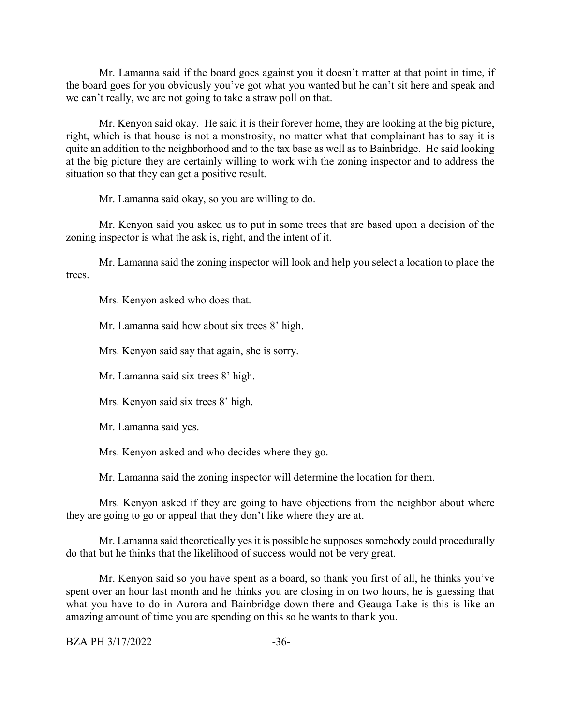Mr. Lamanna said if the board goes against you it doesn't matter at that point in time, if the board goes for you obviously you've got what you wanted but he can't sit here and speak and we can't really, we are not going to take a straw poll on that.

Mr. Kenyon said okay. He said it is their forever home, they are looking at the big picture, right, which is that house is not a monstrosity, no matter what that complainant has to say it is quite an addition to the neighborhood and to the tax base as well as to Bainbridge. He said looking at the big picture they are certainly willing to work with the zoning inspector and to address the situation so that they can get a positive result.

Mr. Lamanna said okay, so you are willing to do.

Mr. Kenyon said you asked us to put in some trees that are based upon a decision of the zoning inspector is what the ask is, right, and the intent of it.

Mr. Lamanna said the zoning inspector will look and help you select a location to place the trees.

Mrs. Kenyon asked who does that.

Mr. Lamanna said how about six trees 8' high.

Mrs. Kenyon said say that again, she is sorry.

Mr. Lamanna said six trees 8' high.

Mrs. Kenyon said six trees 8' high.

Mr. Lamanna said yes.

Mrs. Kenyon asked and who decides where they go.

Mr. Lamanna said the zoning inspector will determine the location for them.

Mrs. Kenyon asked if they are going to have objections from the neighbor about where they are going to go or appeal that they don't like where they are at.

Mr. Lamanna said theoretically yes it is possible he supposes somebody could procedurally do that but he thinks that the likelihood of success would not be very great.

Mr. Kenyon said so you have spent as a board, so thank you first of all, he thinks you've spent over an hour last month and he thinks you are closing in on two hours, he is guessing that what you have to do in Aurora and Bainbridge down there and Geauga Lake is this is like an amazing amount of time you are spending on this so he wants to thank you.

BZA PH 3/17/2022 -36-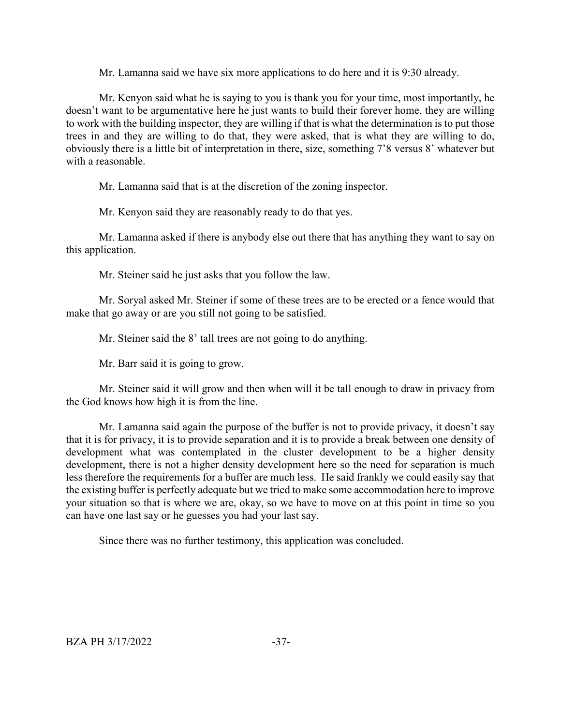Mr. Lamanna said we have six more applications to do here and it is 9:30 already.

Mr. Kenyon said what he is saying to you is thank you for your time, most importantly, he doesn't want to be argumentative here he just wants to build their forever home, they are willing to work with the building inspector, they are willing if that is what the determination is to put those trees in and they are willing to do that, they were asked, that is what they are willing to do, obviously there is a little bit of interpretation in there, size, something 7'8 versus 8' whatever but with a reasonable.

Mr. Lamanna said that is at the discretion of the zoning inspector.

Mr. Kenyon said they are reasonably ready to do that yes.

Mr. Lamanna asked if there is anybody else out there that has anything they want to say on this application.

Mr. Steiner said he just asks that you follow the law.

Mr. Soryal asked Mr. Steiner if some of these trees are to be erected or a fence would that make that go away or are you still not going to be satisfied.

Mr. Steiner said the 8' tall trees are not going to do anything.

Mr. Barr said it is going to grow.

Mr. Steiner said it will grow and then when will it be tall enough to draw in privacy from the God knows how high it is from the line.

Mr. Lamanna said again the purpose of the buffer is not to provide privacy, it doesn't say that it is for privacy, it is to provide separation and it is to provide a break between one density of development what was contemplated in the cluster development to be a higher density development, there is not a higher density development here so the need for separation is much less therefore the requirements for a buffer are much less. He said frankly we could easily say that the existing buffer is perfectly adequate but we tried to make some accommodation here to improve your situation so that is where we are, okay, so we have to move on at this point in time so you can have one last say or he guesses you had your last say.

Since there was no further testimony, this application was concluded.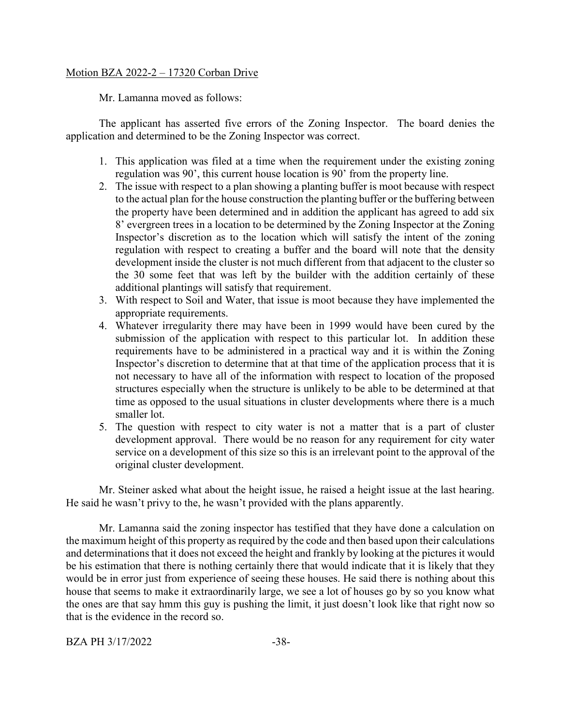## Motion BZA 2022-2 – 17320 Corban Drive

Mr. Lamanna moved as follows:

The applicant has asserted five errors of the Zoning Inspector. The board denies the application and determined to be the Zoning Inspector was correct.

- 1. This application was filed at a time when the requirement under the existing zoning regulation was 90', this current house location is 90' from the property line.
- 2. The issue with respect to a plan showing a planting buffer is moot because with respect to the actual plan for the house construction the planting buffer or the buffering between the property have been determined and in addition the applicant has agreed to add six 8' evergreen trees in a location to be determined by the Zoning Inspector at the Zoning Inspector's discretion as to the location which will satisfy the intent of the zoning regulation with respect to creating a buffer and the board will note that the density development inside the cluster is not much different from that adjacent to the cluster so the 30 some feet that was left by the builder with the addition certainly of these additional plantings will satisfy that requirement.
- 3. With respect to Soil and Water, that issue is moot because they have implemented the appropriate requirements.
- 4. Whatever irregularity there may have been in 1999 would have been cured by the submission of the application with respect to this particular lot. In addition these requirements have to be administered in a practical way and it is within the Zoning Inspector's discretion to determine that at that time of the application process that it is not necessary to have all of the information with respect to location of the proposed structures especially when the structure is unlikely to be able to be determined at that time as opposed to the usual situations in cluster developments where there is a much smaller lot.
- 5. The question with respect to city water is not a matter that is a part of cluster development approval. There would be no reason for any requirement for city water service on a development of this size so this is an irrelevant point to the approval of the original cluster development.

Mr. Steiner asked what about the height issue, he raised a height issue at the last hearing. He said he wasn't privy to the, he wasn't provided with the plans apparently.

Mr. Lamanna said the zoning inspector has testified that they have done a calculation on the maximum height of this property as required by the code and then based upon their calculations and determinations that it does not exceed the height and frankly by looking at the pictures it would be his estimation that there is nothing certainly there that would indicate that it is likely that they would be in error just from experience of seeing these houses. He said there is nothing about this house that seems to make it extraordinarily large, we see a lot of houses go by so you know what the ones are that say hmm this guy is pushing the limit, it just doesn't look like that right now so that is the evidence in the record so.

BZA PH 3/17/2022 -38-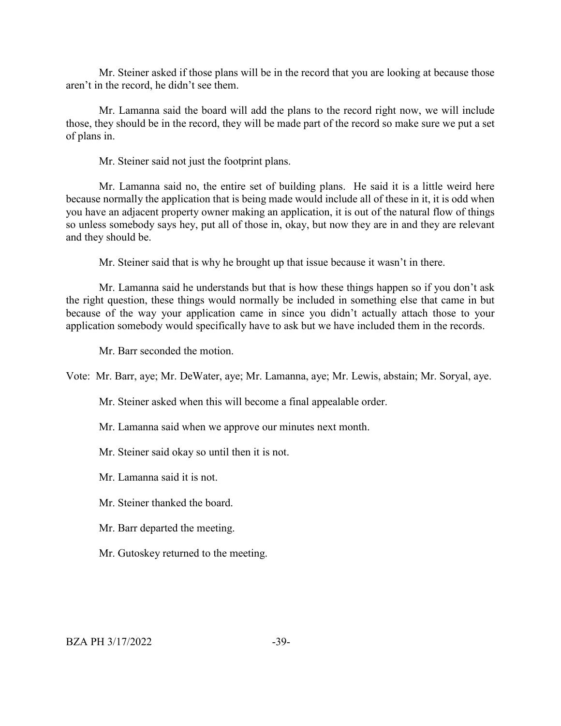Mr. Steiner asked if those plans will be in the record that you are looking at because those aren't in the record, he didn't see them.

Mr. Lamanna said the board will add the plans to the record right now, we will include those, they should be in the record, they will be made part of the record so make sure we put a set of plans in.

Mr. Steiner said not just the footprint plans.

Mr. Lamanna said no, the entire set of building plans. He said it is a little weird here because normally the application that is being made would include all of these in it, it is odd when you have an adjacent property owner making an application, it is out of the natural flow of things so unless somebody says hey, put all of those in, okay, but now they are in and they are relevant and they should be.

Mr. Steiner said that is why he brought up that issue because it wasn't in there.

Mr. Lamanna said he understands but that is how these things happen so if you don't ask the right question, these things would normally be included in something else that came in but because of the way your application came in since you didn't actually attach those to your application somebody would specifically have to ask but we have included them in the records.

Mr. Barr seconded the motion.

Vote: Mr. Barr, aye; Mr. DeWater, aye; Mr. Lamanna, aye; Mr. Lewis, abstain; Mr. Soryal, aye.

Mr. Steiner asked when this will become a final appealable order.

Mr. Lamanna said when we approve our minutes next month.

Mr. Steiner said okay so until then it is not.

Mr. Lamanna said it is not.

Mr. Steiner thanked the board.

Mr. Barr departed the meeting.

Mr. Gutoskey returned to the meeting.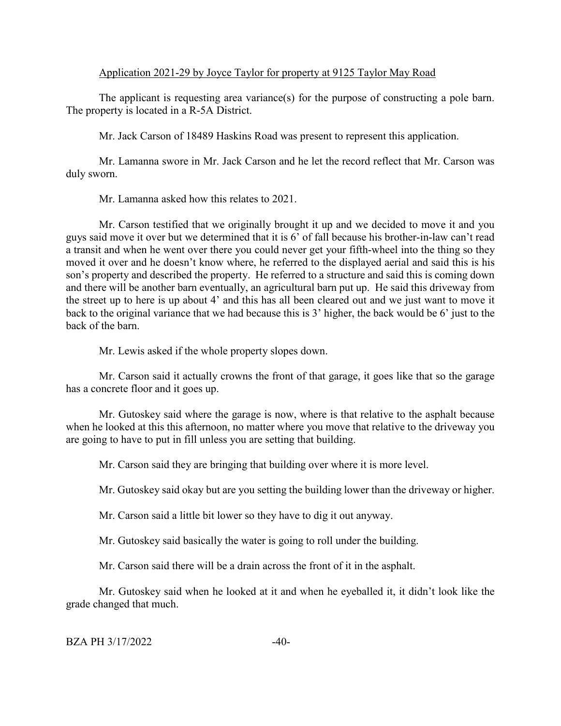## Application 2021-29 by Joyce Taylor for property at 9125 Taylor May Road

The applicant is requesting area variance(s) for the purpose of constructing a pole barn. The property is located in a R-5A District.

Mr. Jack Carson of 18489 Haskins Road was present to represent this application.

Mr. Lamanna swore in Mr. Jack Carson and he let the record reflect that Mr. Carson was duly sworn.

Mr. Lamanna asked how this relates to 2021.

Mr. Carson testified that we originally brought it up and we decided to move it and you guys said move it over but we determined that it is 6' of fall because his brother-in-law can't read a transit and when he went over there you could never get your fifth-wheel into the thing so they moved it over and he doesn't know where, he referred to the displayed aerial and said this is his son's property and described the property. He referred to a structure and said this is coming down and there will be another barn eventually, an agricultural barn put up. He said this driveway from the street up to here is up about 4' and this has all been cleared out and we just want to move it back to the original variance that we had because this is 3' higher, the back would be 6' just to the back of the barn.

Mr. Lewis asked if the whole property slopes down.

Mr. Carson said it actually crowns the front of that garage, it goes like that so the garage has a concrete floor and it goes up.

Mr. Gutoskey said where the garage is now, where is that relative to the asphalt because when he looked at this this afternoon, no matter where you move that relative to the driveway you are going to have to put in fill unless you are setting that building.

Mr. Carson said they are bringing that building over where it is more level.

Mr. Gutoskey said okay but are you setting the building lower than the driveway or higher.

Mr. Carson said a little bit lower so they have to dig it out anyway.

Mr. Gutoskey said basically the water is going to roll under the building.

Mr. Carson said there will be a drain across the front of it in the asphalt.

Mr. Gutoskey said when he looked at it and when he eyeballed it, it didn't look like the grade changed that much.

#### $BZA PH 3/17/2022$   $-40-$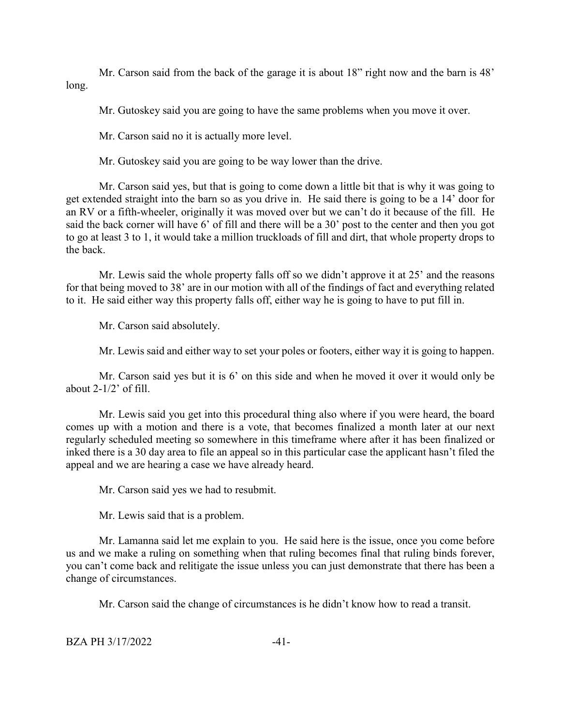Mr. Carson said from the back of the garage it is about 18" right now and the barn is 48' long.

Mr. Gutoskey said you are going to have the same problems when you move it over.

Mr. Carson said no it is actually more level.

Mr. Gutoskey said you are going to be way lower than the drive.

Mr. Carson said yes, but that is going to come down a little bit that is why it was going to get extended straight into the barn so as you drive in. He said there is going to be a 14' door for an RV or a fifth-wheeler, originally it was moved over but we can't do it because of the fill. He said the back corner will have 6' of fill and there will be a 30' post to the center and then you got to go at least 3 to 1, it would take a million truckloads of fill and dirt, that whole property drops to the back.

Mr. Lewis said the whole property falls off so we didn't approve it at 25' and the reasons for that being moved to 38' are in our motion with all of the findings of fact and everything related to it. He said either way this property falls off, either way he is going to have to put fill in.

Mr. Carson said absolutely.

Mr. Lewis said and either way to set your poles or footers, either way it is going to happen.

Mr. Carson said yes but it is 6' on this side and when he moved it over it would only be about  $2-1/2$ ' of fill.

Mr. Lewis said you get into this procedural thing also where if you were heard, the board comes up with a motion and there is a vote, that becomes finalized a month later at our next regularly scheduled meeting so somewhere in this timeframe where after it has been finalized or inked there is a 30 day area to file an appeal so in this particular case the applicant hasn't filed the appeal and we are hearing a case we have already heard.

Mr. Carson said yes we had to resubmit.

Mr. Lewis said that is a problem.

Mr. Lamanna said let me explain to you. He said here is the issue, once you come before us and we make a ruling on something when that ruling becomes final that ruling binds forever, you can't come back and relitigate the issue unless you can just demonstrate that there has been a change of circumstances.

Mr. Carson said the change of circumstances is he didn't know how to read a transit.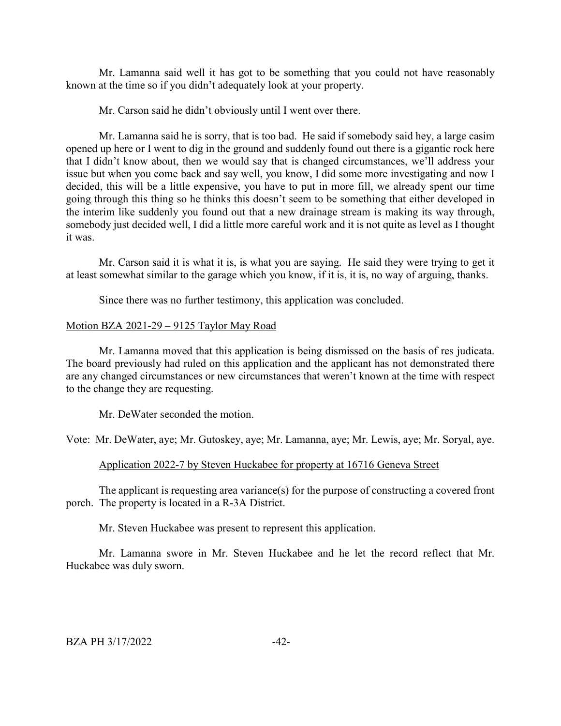Mr. Lamanna said well it has got to be something that you could not have reasonably known at the time so if you didn't adequately look at your property.

Mr. Carson said he didn't obviously until I went over there.

Mr. Lamanna said he is sorry, that is too bad. He said if somebody said hey, a large casim opened up here or I went to dig in the ground and suddenly found out there is a gigantic rock here that I didn't know about, then we would say that is changed circumstances, we'll address your issue but when you come back and say well, you know, I did some more investigating and now I decided, this will be a little expensive, you have to put in more fill, we already spent our time going through this thing so he thinks this doesn't seem to be something that either developed in the interim like suddenly you found out that a new drainage stream is making its way through, somebody just decided well, I did a little more careful work and it is not quite as level as I thought it was.

Mr. Carson said it is what it is, is what you are saying. He said they were trying to get it at least somewhat similar to the garage which you know, if it is, it is, no way of arguing, thanks.

Since there was no further testimony, this application was concluded.

#### Motion BZA 2021-29 – 9125 Taylor May Road

Mr. Lamanna moved that this application is being dismissed on the basis of res judicata. The board previously had ruled on this application and the applicant has not demonstrated there are any changed circumstances or new circumstances that weren't known at the time with respect to the change they are requesting.

Mr. DeWater seconded the motion.

Vote: Mr. DeWater, aye; Mr. Gutoskey, aye; Mr. Lamanna, aye; Mr. Lewis, aye; Mr. Soryal, aye.

#### Application 2022-7 by Steven Huckabee for property at 16716 Geneva Street

The applicant is requesting area variance(s) for the purpose of constructing a covered front porch. The property is located in a R-3A District.

Mr. Steven Huckabee was present to represent this application.

Mr. Lamanna swore in Mr. Steven Huckabee and he let the record reflect that Mr. Huckabee was duly sworn.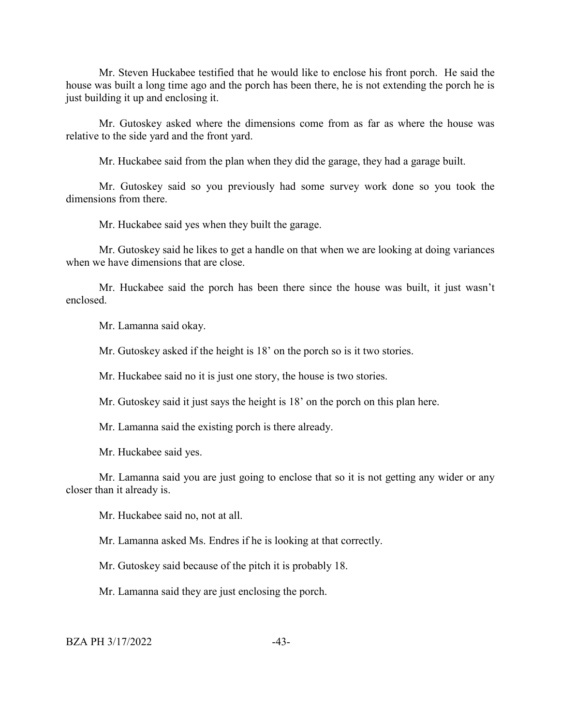Mr. Steven Huckabee testified that he would like to enclose his front porch. He said the house was built a long time ago and the porch has been there, he is not extending the porch he is just building it up and enclosing it.

Mr. Gutoskey asked where the dimensions come from as far as where the house was relative to the side yard and the front yard.

Mr. Huckabee said from the plan when they did the garage, they had a garage built.

Mr. Gutoskey said so you previously had some survey work done so you took the dimensions from there.

Mr. Huckabee said yes when they built the garage.

Mr. Gutoskey said he likes to get a handle on that when we are looking at doing variances when we have dimensions that are close.

Mr. Huckabee said the porch has been there since the house was built, it just wasn't enclosed.

Mr. Lamanna said okay.

Mr. Gutoskey asked if the height is 18' on the porch so is it two stories.

Mr. Huckabee said no it is just one story, the house is two stories.

Mr. Gutoskey said it just says the height is 18' on the porch on this plan here.

Mr. Lamanna said the existing porch is there already.

Mr. Huckabee said yes.

Mr. Lamanna said you are just going to enclose that so it is not getting any wider or any closer than it already is.

Mr. Huckabee said no, not at all.

Mr. Lamanna asked Ms. Endres if he is looking at that correctly.

Mr. Gutoskey said because of the pitch it is probably 18.

Mr. Lamanna said they are just enclosing the porch.

 $BZA PH 3/17/2022$   $-43-$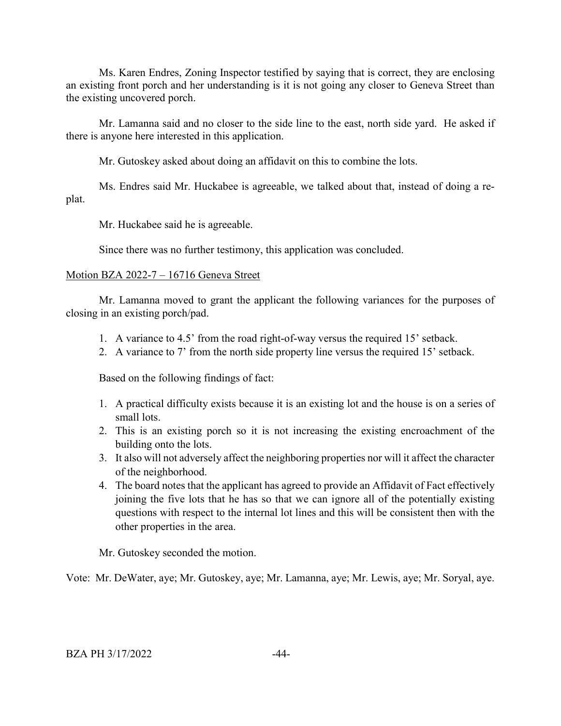Ms. Karen Endres, Zoning Inspector testified by saying that is correct, they are enclosing an existing front porch and her understanding is it is not going any closer to Geneva Street than the existing uncovered porch.

Mr. Lamanna said and no closer to the side line to the east, north side yard. He asked if there is anyone here interested in this application.

Mr. Gutoskey asked about doing an affidavit on this to combine the lots.

Ms. Endres said Mr. Huckabee is agreeable, we talked about that, instead of doing a replat.

Mr. Huckabee said he is agreeable.

Since there was no further testimony, this application was concluded.

# Motion BZA 2022-7 – 16716 Geneva Street

Mr. Lamanna moved to grant the applicant the following variances for the purposes of closing in an existing porch/pad.

- 1. A variance to 4.5' from the road right-of-way versus the required 15' setback.
- 2. A variance to 7' from the north side property line versus the required 15' setback.

Based on the following findings of fact:

- 1. A practical difficulty exists because it is an existing lot and the house is on a series of small lots.
- 2. This is an existing porch so it is not increasing the existing encroachment of the building onto the lots.
- 3. It also will not adversely affect the neighboring properties nor will it affect the character of the neighborhood.
- 4. The board notes that the applicant has agreed to provide an Affidavit of Fact effectively joining the five lots that he has so that we can ignore all of the potentially existing questions with respect to the internal lot lines and this will be consistent then with the other properties in the area.

Mr. Gutoskey seconded the motion.

Vote: Mr. DeWater, aye; Mr. Gutoskey, aye; Mr. Lamanna, aye; Mr. Lewis, aye; Mr. Soryal, aye.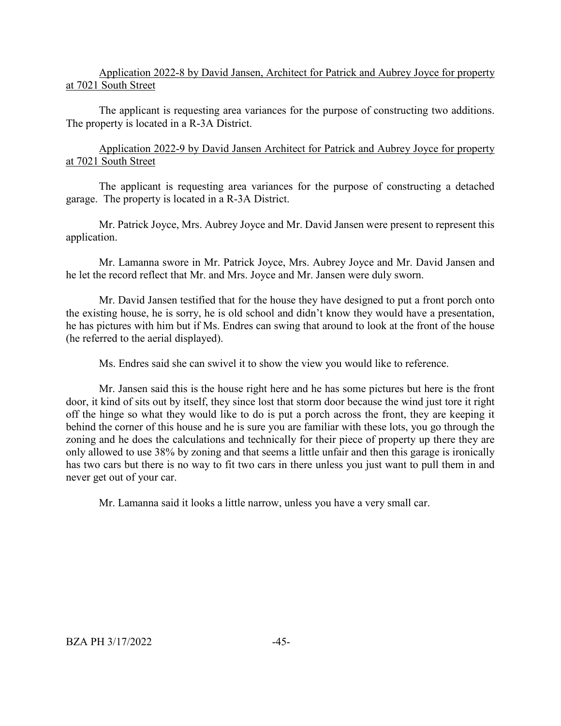## Application 2022-8 by David Jansen, Architect for Patrick and Aubrey Joyce for property at 7021 South Street

The applicant is requesting area variances for the purpose of constructing two additions. The property is located in a R-3A District.

Application 2022-9 by David Jansen Architect for Patrick and Aubrey Joyce for property at 7021 South Street

The applicant is requesting area variances for the purpose of constructing a detached garage. The property is located in a R-3A District.

Mr. Patrick Joyce, Mrs. Aubrey Joyce and Mr. David Jansen were present to represent this application.

Mr. Lamanna swore in Mr. Patrick Joyce, Mrs. Aubrey Joyce and Mr. David Jansen and he let the record reflect that Mr. and Mrs. Joyce and Mr. Jansen were duly sworn.

Mr. David Jansen testified that for the house they have designed to put a front porch onto the existing house, he is sorry, he is old school and didn't know they would have a presentation, he has pictures with him but if Ms. Endres can swing that around to look at the front of the house (he referred to the aerial displayed).

Ms. Endres said she can swivel it to show the view you would like to reference.

Mr. Jansen said this is the house right here and he has some pictures but here is the front door, it kind of sits out by itself, they since lost that storm door because the wind just tore it right off the hinge so what they would like to do is put a porch across the front, they are keeping it behind the corner of this house and he is sure you are familiar with these lots, you go through the zoning and he does the calculations and technically for their piece of property up there they are only allowed to use 38% by zoning and that seems a little unfair and then this garage is ironically has two cars but there is no way to fit two cars in there unless you just want to pull them in and never get out of your car.

Mr. Lamanna said it looks a little narrow, unless you have a very small car.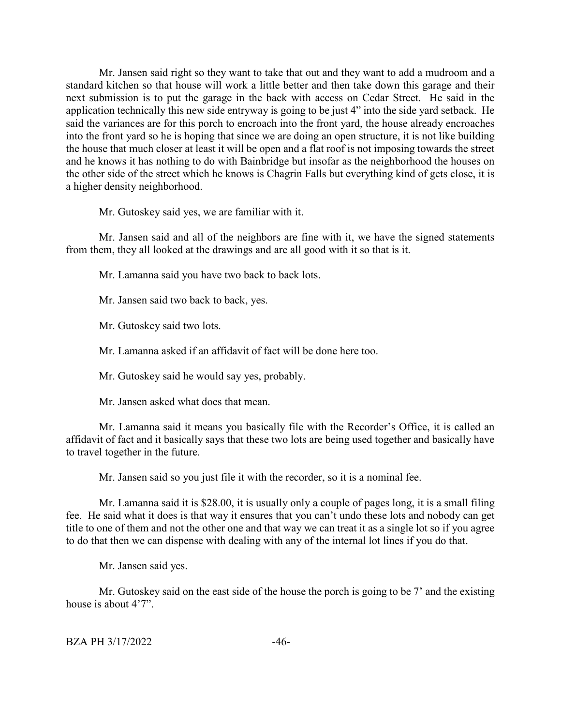Mr. Jansen said right so they want to take that out and they want to add a mudroom and a standard kitchen so that house will work a little better and then take down this garage and their next submission is to put the garage in the back with access on Cedar Street. He said in the application technically this new side entryway is going to be just 4" into the side yard setback. He said the variances are for this porch to encroach into the front yard, the house already encroaches into the front yard so he is hoping that since we are doing an open structure, it is not like building the house that much closer at least it will be open and a flat roof is not imposing towards the street and he knows it has nothing to do with Bainbridge but insofar as the neighborhood the houses on the other side of the street which he knows is Chagrin Falls but everything kind of gets close, it is a higher density neighborhood.

Mr. Gutoskey said yes, we are familiar with it.

Mr. Jansen said and all of the neighbors are fine with it, we have the signed statements from them, they all looked at the drawings and are all good with it so that is it.

Mr. Lamanna said you have two back to back lots.

Mr. Jansen said two back to back, yes.

Mr. Gutoskey said two lots.

Mr. Lamanna asked if an affidavit of fact will be done here too.

Mr. Gutoskey said he would say yes, probably.

Mr. Jansen asked what does that mean.

Mr. Lamanna said it means you basically file with the Recorder's Office, it is called an affidavit of fact and it basically says that these two lots are being used together and basically have to travel together in the future.

Mr. Jansen said so you just file it with the recorder, so it is a nominal fee.

Mr. Lamanna said it is \$28.00, it is usually only a couple of pages long, it is a small filing fee. He said what it does is that way it ensures that you can't undo these lots and nobody can get title to one of them and not the other one and that way we can treat it as a single lot so if you agree to do that then we can dispense with dealing with any of the internal lot lines if you do that.

Mr. Jansen said yes.

Mr. Gutoskey said on the east side of the house the porch is going to be 7' and the existing house is about 4'7".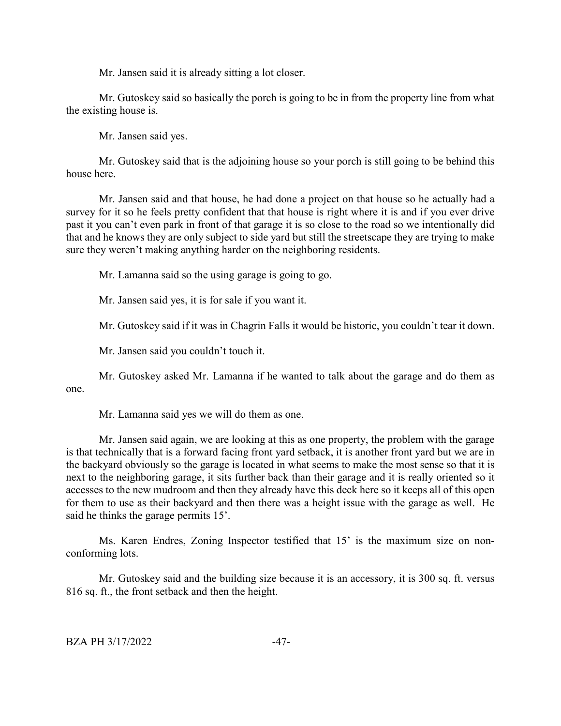Mr. Jansen said it is already sitting a lot closer.

Mr. Gutoskey said so basically the porch is going to be in from the property line from what the existing house is.

Mr. Jansen said yes.

Mr. Gutoskey said that is the adjoining house so your porch is still going to be behind this house here.

Mr. Jansen said and that house, he had done a project on that house so he actually had a survey for it so he feels pretty confident that that house is right where it is and if you ever drive past it you can't even park in front of that garage it is so close to the road so we intentionally did that and he knows they are only subject to side yard but still the streetscape they are trying to make sure they weren't making anything harder on the neighboring residents.

Mr. Lamanna said so the using garage is going to go.

Mr. Jansen said yes, it is for sale if you want it.

Mr. Gutoskey said if it was in Chagrin Falls it would be historic, you couldn't tear it down.

Mr. Jansen said you couldn't touch it.

Mr. Gutoskey asked Mr. Lamanna if he wanted to talk about the garage and do them as one.

Mr. Lamanna said yes we will do them as one.

Mr. Jansen said again, we are looking at this as one property, the problem with the garage is that technically that is a forward facing front yard setback, it is another front yard but we are in the backyard obviously so the garage is located in what seems to make the most sense so that it is next to the neighboring garage, it sits further back than their garage and it is really oriented so it accesses to the new mudroom and then they already have this deck here so it keeps all of this open for them to use as their backyard and then there was a height issue with the garage as well. He said he thinks the garage permits 15'.

Ms. Karen Endres, Zoning Inspector testified that 15' is the maximum size on nonconforming lots.

Mr. Gutoskey said and the building size because it is an accessory, it is 300 sq. ft. versus 816 sq. ft., the front setback and then the height.

BZA PH 3/17/2022 -47-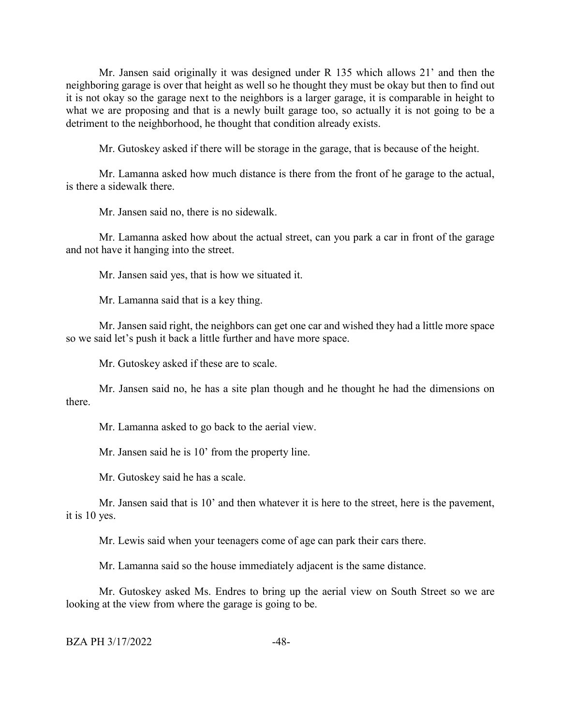Mr. Jansen said originally it was designed under R 135 which allows 21' and then the neighboring garage is over that height as well so he thought they must be okay but then to find out it is not okay so the garage next to the neighbors is a larger garage, it is comparable in height to what we are proposing and that is a newly built garage too, so actually it is not going to be a detriment to the neighborhood, he thought that condition already exists.

Mr. Gutoskey asked if there will be storage in the garage, that is because of the height.

Mr. Lamanna asked how much distance is there from the front of he garage to the actual, is there a sidewalk there.

Mr. Jansen said no, there is no sidewalk.

Mr. Lamanna asked how about the actual street, can you park a car in front of the garage and not have it hanging into the street.

Mr. Jansen said yes, that is how we situated it.

Mr. Lamanna said that is a key thing.

Mr. Jansen said right, the neighbors can get one car and wished they had a little more space so we said let's push it back a little further and have more space.

Mr. Gutoskey asked if these are to scale.

Mr. Jansen said no, he has a site plan though and he thought he had the dimensions on there.

Mr. Lamanna asked to go back to the aerial view.

Mr. Jansen said he is 10' from the property line.

Mr. Gutoskey said he has a scale.

Mr. Jansen said that is 10' and then whatever it is here to the street, here is the pavement, it is 10 yes.

Mr. Lewis said when your teenagers come of age can park their cars there.

Mr. Lamanna said so the house immediately adjacent is the same distance.

Mr. Gutoskey asked Ms. Endres to bring up the aerial view on South Street so we are looking at the view from where the garage is going to be.

```
BZA PH 3/17/2022 -48-
```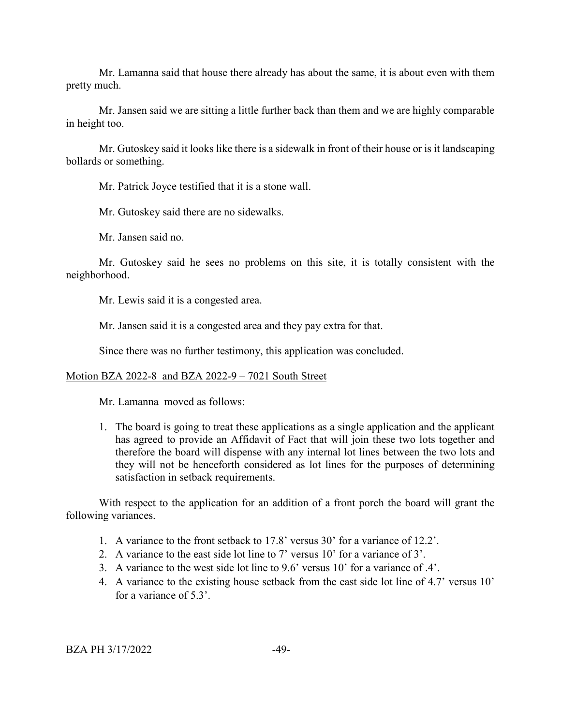Mr. Lamanna said that house there already has about the same, it is about even with them pretty much.

Mr. Jansen said we are sitting a little further back than them and we are highly comparable in height too.

Mr. Gutoskey said it looks like there is a sidewalk in front of their house or is it landscaping bollards or something.

Mr. Patrick Joyce testified that it is a stone wall.

Mr. Gutoskey said there are no sidewalks.

Mr. Jansen said no.

Mr. Gutoskey said he sees no problems on this site, it is totally consistent with the neighborhood.

Mr. Lewis said it is a congested area.

Mr. Jansen said it is a congested area and they pay extra for that.

Since there was no further testimony, this application was concluded.

## Motion BZA 2022-8 and BZA 2022-9 – 7021 South Street

Mr. Lamanna moved as follows:

1. The board is going to treat these applications as a single application and the applicant has agreed to provide an Affidavit of Fact that will join these two lots together and therefore the board will dispense with any internal lot lines between the two lots and they will not be henceforth considered as lot lines for the purposes of determining satisfaction in setback requirements.

With respect to the application for an addition of a front porch the board will grant the following variances.

- 1. A variance to the front setback to 17.8' versus 30' for a variance of 12.2'.
- 2. A variance to the east side lot line to 7' versus 10' for a variance of 3'.
- 3. A variance to the west side lot line to 9.6' versus 10' for a variance of .4'.
- 4. A variance to the existing house setback from the east side lot line of 4.7' versus 10' for a variance of 5.3'.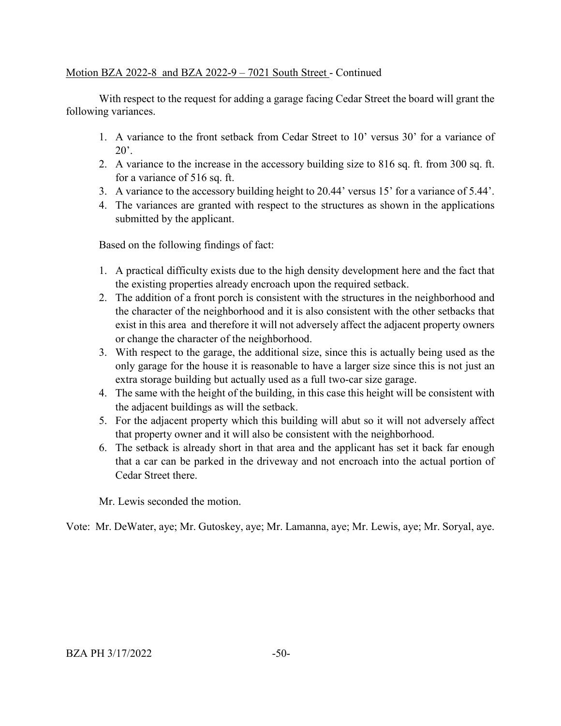# Motion BZA 2022-8 and BZA 2022-9 – 7021 South Street - Continued

With respect to the request for adding a garage facing Cedar Street the board will grant the following variances.

- 1. A variance to the front setback from Cedar Street to 10' versus 30' for a variance of  $20^\circ$ .
- 2. A variance to the increase in the accessory building size to 816 sq. ft. from 300 sq. ft. for a variance of 516 sq. ft.
- 3. A variance to the accessory building height to 20.44' versus 15' for a variance of 5.44'.
- 4. The variances are granted with respect to the structures as shown in the applications submitted by the applicant.

Based on the following findings of fact:

- 1. A practical difficulty exists due to the high density development here and the fact that the existing properties already encroach upon the required setback.
- 2. The addition of a front porch is consistent with the structures in the neighborhood and the character of the neighborhood and it is also consistent with the other setbacks that exist in this area and therefore it will not adversely affect the adjacent property owners or change the character of the neighborhood.
- 3. With respect to the garage, the additional size, since this is actually being used as the only garage for the house it is reasonable to have a larger size since this is not just an extra storage building but actually used as a full two-car size garage.
- 4. The same with the height of the building, in this case this height will be consistent with the adjacent buildings as will the setback.
- 5. For the adjacent property which this building will abut so it will not adversely affect that property owner and it will also be consistent with the neighborhood.
- 6. The setback is already short in that area and the applicant has set it back far enough that a car can be parked in the driveway and not encroach into the actual portion of Cedar Street there.

Mr. Lewis seconded the motion.

Vote: Mr. DeWater, aye; Mr. Gutoskey, aye; Mr. Lamanna, aye; Mr. Lewis, aye; Mr. Soryal, aye.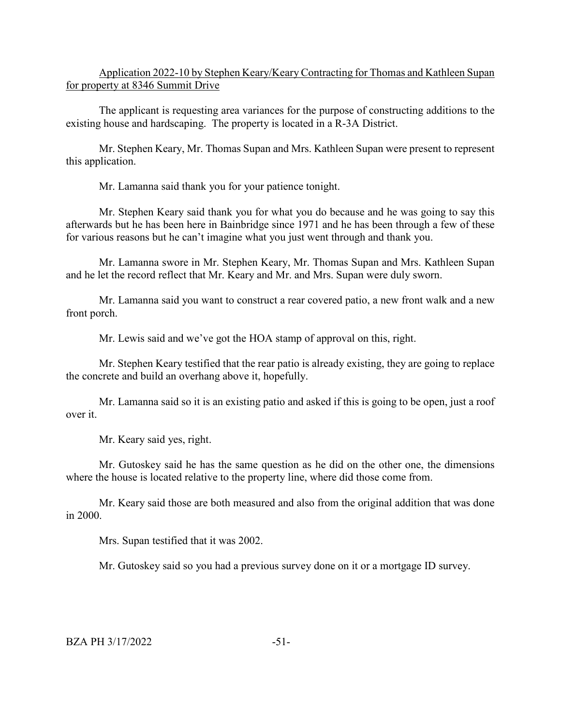Application 2022-10 by Stephen Keary/Keary Contracting for Thomas and Kathleen Supan for property at 8346 Summit Drive

The applicant is requesting area variances for the purpose of constructing additions to the existing house and hardscaping. The property is located in a R-3A District.

Mr. Stephen Keary, Mr. Thomas Supan and Mrs. Kathleen Supan were present to represent this application.

Mr. Lamanna said thank you for your patience tonight.

Mr. Stephen Keary said thank you for what you do because and he was going to say this afterwards but he has been here in Bainbridge since 1971 and he has been through a few of these for various reasons but he can't imagine what you just went through and thank you.

Mr. Lamanna swore in Mr. Stephen Keary, Mr. Thomas Supan and Mrs. Kathleen Supan and he let the record reflect that Mr. Keary and Mr. and Mrs. Supan were duly sworn.

Mr. Lamanna said you want to construct a rear covered patio, a new front walk and a new front porch.

Mr. Lewis said and we've got the HOA stamp of approval on this, right.

Mr. Stephen Keary testified that the rear patio is already existing, they are going to replace the concrete and build an overhang above it, hopefully.

Mr. Lamanna said so it is an existing patio and asked if this is going to be open, just a roof over it.

Mr. Keary said yes, right.

Mr. Gutoskey said he has the same question as he did on the other one, the dimensions where the house is located relative to the property line, where did those come from.

Mr. Keary said those are both measured and also from the original addition that was done in 2000.

Mrs. Supan testified that it was 2002.

Mr. Gutoskey said so you had a previous survey done on it or a mortgage ID survey.

 $BZA PH 3/17/2022$   $-51-$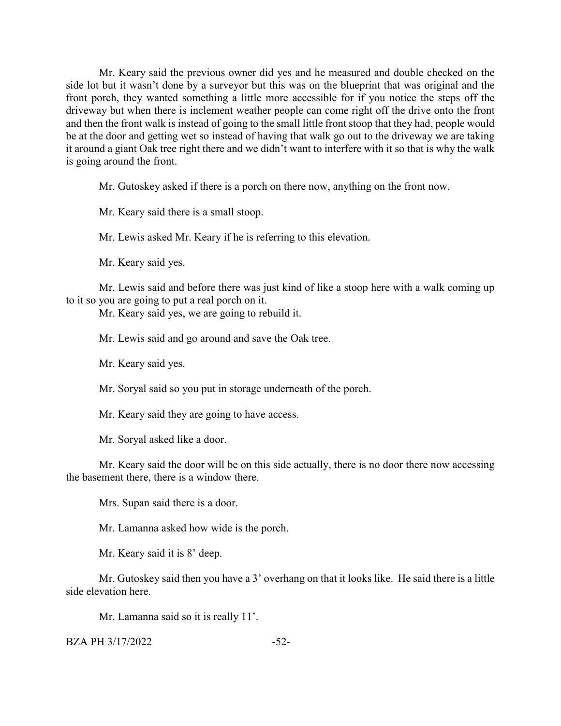Mr. Keary said the previous owner did yes and he measured and double checked on the side lot but it wasn't done by a surveyor but this was on the blueprint that was original and the front porch, they wanted something a little more accessible for if you notice the steps off the driveway but when there is inclement weather people can come right off the drive onto the front and then the front walk is instead of going to the small little front stoop that they had, people would be at the door and getting wet so instead of having that walk go out to the driveway we are taking it around a giant Oak tree right there and we didn't want to interfere with it so that is why the walk is going around the front.

Mr. Gutoskey asked if there is a porch on there now, anything on the front now.

Mr. Keary said there is a small stoop.

Mr. Lewis asked Mr. Keary if he is referring to this elevation.

Mr. Keary said yes.

Mr. Lewis said and before there was just kind of like a stoop here with a walk coming up to it so you are going to put a real porch on it.

Mr. Keary said yes, we are going to rebuild it.

Mr. Lewis said and go around and save the Oak tree.

Mr. Keary said yes.

Mr. Soryal said so you put in storage underneath of the porch.

Mr. Keary said they are going to have access.

Mr. Soryal asked like a door.

Mr. Keary said the door will be on this side actually, there is no door there now accessing the basement there, there is a window there.

Mrs. Supan said there is a door.

Mr. Lamanna asked how wide is the porch.

Mr. Keary said it is 8' deep.

Mr. Gutoskey said then you have a 3' overhang on that it looks like. He said there is a little side elevation here.

Mr. Lamanna said so it is really 11'.

 $BZA PH 3/17/2022$   $-52-$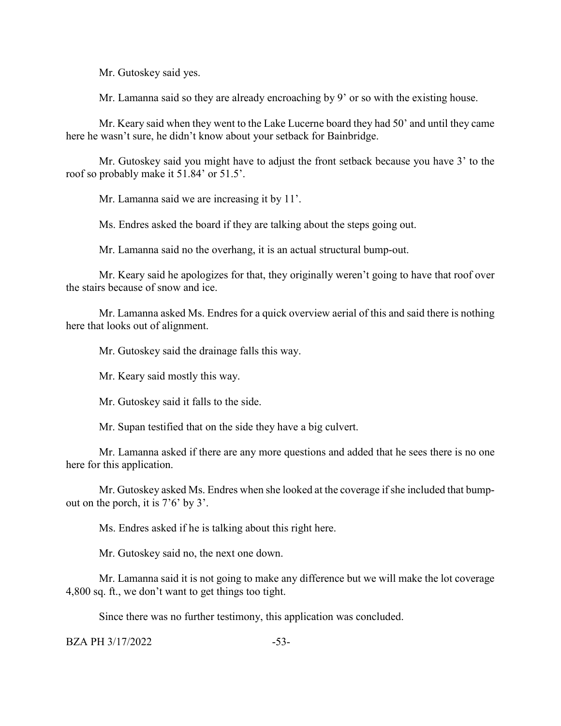Mr. Gutoskey said yes.

Mr. Lamanna said so they are already encroaching by 9' or so with the existing house.

Mr. Keary said when they went to the Lake Lucerne board they had 50' and until they came here he wasn't sure, he didn't know about your setback for Bainbridge.

Mr. Gutoskey said you might have to adjust the front setback because you have 3' to the roof so probably make it 51.84' or 51.5'.

Mr. Lamanna said we are increasing it by 11'.

Ms. Endres asked the board if they are talking about the steps going out.

Mr. Lamanna said no the overhang, it is an actual structural bump-out.

Mr. Keary said he apologizes for that, they originally weren't going to have that roof over the stairs because of snow and ice.

Mr. Lamanna asked Ms. Endres for a quick overview aerial of this and said there is nothing here that looks out of alignment.

Mr. Gutoskey said the drainage falls this way.

Mr. Keary said mostly this way.

Mr. Gutoskey said it falls to the side.

Mr. Supan testified that on the side they have a big culvert.

Mr. Lamanna asked if there are any more questions and added that he sees there is no one here for this application.

Mr. Gutoskey asked Ms. Endres when she looked at the coverage if she included that bumpout on the porch, it is 7'6' by 3'.

Ms. Endres asked if he is talking about this right here.

Mr. Gutoskey said no, the next one down.

Mr. Lamanna said it is not going to make any difference but we will make the lot coverage 4,800 sq. ft., we don't want to get things too tight.

Since there was no further testimony, this application was concluded.

 $BZA PH 3/17/2022$   $-53-$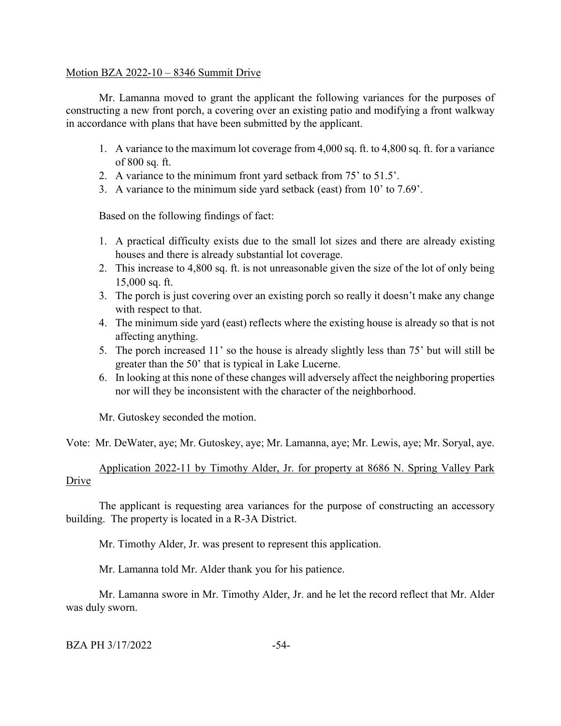## Motion BZA 2022-10 – 8346 Summit Drive

Mr. Lamanna moved to grant the applicant the following variances for the purposes of constructing a new front porch, a covering over an existing patio and modifying a front walkway in accordance with plans that have been submitted by the applicant.

- 1. A variance to the maximum lot coverage from 4,000 sq. ft. to 4,800 sq. ft. for a variance of 800 sq. ft.
- 2. A variance to the minimum front yard setback from 75' to 51.5'.
- 3. A variance to the minimum side yard setback (east) from 10' to 7.69'.

Based on the following findings of fact:

- 1. A practical difficulty exists due to the small lot sizes and there are already existing houses and there is already substantial lot coverage.
- 2. This increase to 4,800 sq. ft. is not unreasonable given the size of the lot of only being 15,000 sq. ft.
- 3. The porch is just covering over an existing porch so really it doesn't make any change with respect to that.
- 4. The minimum side yard (east) reflects where the existing house is already so that is not affecting anything.
- 5. The porch increased 11' so the house is already slightly less than 75' but will still be greater than the 50' that is typical in Lake Lucerne.
- 6. In looking at this none of these changes will adversely affect the neighboring properties nor will they be inconsistent with the character of the neighborhood.

Mr. Gutoskey seconded the motion.

Vote: Mr. DeWater, aye; Mr. Gutoskey, aye; Mr. Lamanna, aye; Mr. Lewis, aye; Mr. Soryal, aye.

Application 2022-11 by Timothy Alder, Jr. for property at 8686 N. Spring Valley Park Drive

The applicant is requesting area variances for the purpose of constructing an accessory building. The property is located in a R-3A District.

Mr. Timothy Alder, Jr. was present to represent this application.

Mr. Lamanna told Mr. Alder thank you for his patience.

Mr. Lamanna swore in Mr. Timothy Alder, Jr. and he let the record reflect that Mr. Alder was duly sworn.

# BZA PH 3/17/2022 -54-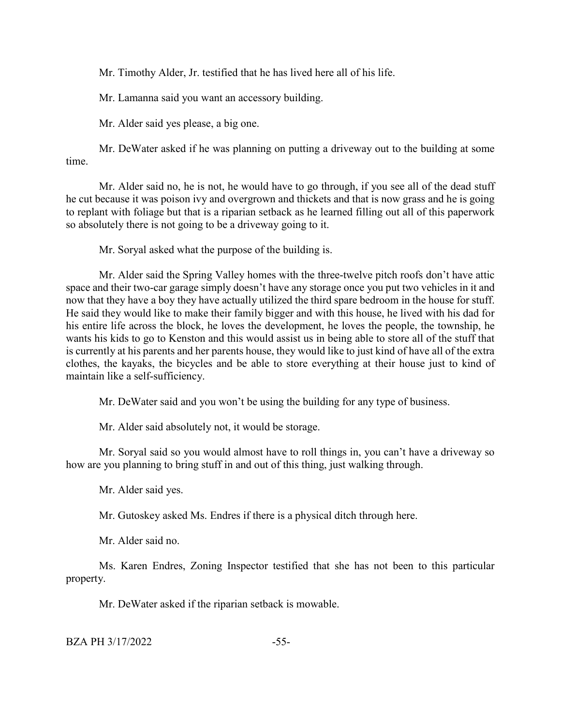Mr. Timothy Alder, Jr. testified that he has lived here all of his life.

Mr. Lamanna said you want an accessory building.

Mr. Alder said yes please, a big one.

Mr. DeWater asked if he was planning on putting a driveway out to the building at some time.

Mr. Alder said no, he is not, he would have to go through, if you see all of the dead stuff he cut because it was poison ivy and overgrown and thickets and that is now grass and he is going to replant with foliage but that is a riparian setback as he learned filling out all of this paperwork so absolutely there is not going to be a driveway going to it.

Mr. Soryal asked what the purpose of the building is.

Mr. Alder said the Spring Valley homes with the three-twelve pitch roofs don't have attic space and their two-car garage simply doesn't have any storage once you put two vehicles in it and now that they have a boy they have actually utilized the third spare bedroom in the house for stuff. He said they would like to make their family bigger and with this house, he lived with his dad for his entire life across the block, he loves the development, he loves the people, the township, he wants his kids to go to Kenston and this would assist us in being able to store all of the stuff that is currently at his parents and her parents house, they would like to just kind of have all of the extra clothes, the kayaks, the bicycles and be able to store everything at their house just to kind of maintain like a self-sufficiency.

Mr. DeWater said and you won't be using the building for any type of business.

Mr. Alder said absolutely not, it would be storage.

Mr. Soryal said so you would almost have to roll things in, you can't have a driveway so how are you planning to bring stuff in and out of this thing, just walking through.

Mr. Alder said yes.

Mr. Gutoskey asked Ms. Endres if there is a physical ditch through here.

Mr. Alder said no.

Ms. Karen Endres, Zoning Inspector testified that she has not been to this particular property.

Mr. DeWater asked if the riparian setback is mowable.

 $BZA PH 3/17/2022$  -55-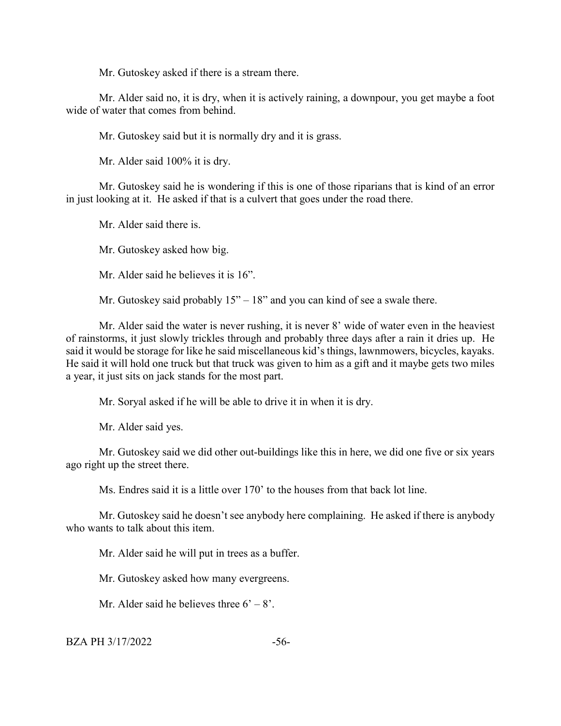Mr. Gutoskey asked if there is a stream there.

Mr. Alder said no, it is dry, when it is actively raining, a downpour, you get maybe a foot wide of water that comes from behind.

Mr. Gutoskey said but it is normally dry and it is grass.

Mr. Alder said 100% it is dry.

Mr. Gutoskey said he is wondering if this is one of those riparians that is kind of an error in just looking at it. He asked if that is a culvert that goes under the road there.

Mr. Alder said there is.

Mr. Gutoskey asked how big.

Mr. Alder said he believes it is 16".

Mr. Gutoskey said probably  $15" - 18"$  and you can kind of see a swale there.

Mr. Alder said the water is never rushing, it is never 8' wide of water even in the heaviest of rainstorms, it just slowly trickles through and probably three days after a rain it dries up. He said it would be storage for like he said miscellaneous kid's things, lawnmowers, bicycles, kayaks. He said it will hold one truck but that truck was given to him as a gift and it maybe gets two miles a year, it just sits on jack stands for the most part.

Mr. Soryal asked if he will be able to drive it in when it is dry.

Mr. Alder said yes.

Mr. Gutoskey said we did other out-buildings like this in here, we did one five or six years ago right up the street there.

Ms. Endres said it is a little over 170' to the houses from that back lot line.

Mr. Gutoskey said he doesn't see anybody here complaining. He asked if there is anybody who wants to talk about this item.

Mr. Alder said he will put in trees as a buffer.

Mr. Gutoskey asked how many evergreens.

Mr. Alder said he believes three  $6' - 8'$ .

 $BZA PH 3/17/2022$  -56-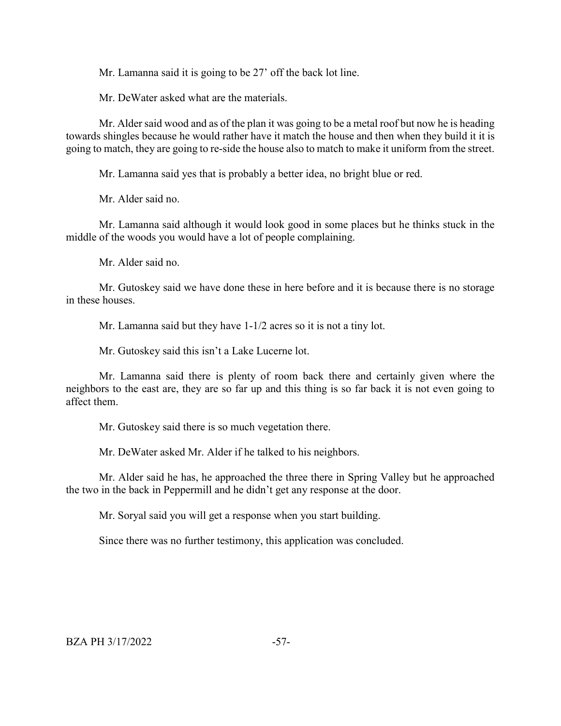Mr. Lamanna said it is going to be 27' off the back lot line.

Mr. DeWater asked what are the materials.

Mr. Alder said wood and as of the plan it was going to be a metal roof but now he is heading towards shingles because he would rather have it match the house and then when they build it it is going to match, they are going to re-side the house also to match to make it uniform from the street.

Mr. Lamanna said yes that is probably a better idea, no bright blue or red.

Mr. Alder said no.

Mr. Lamanna said although it would look good in some places but he thinks stuck in the middle of the woods you would have a lot of people complaining.

Mr. Alder said no.

Mr. Gutoskey said we have done these in here before and it is because there is no storage in these houses.

Mr. Lamanna said but they have 1-1/2 acres so it is not a tiny lot.

Mr. Gutoskey said this isn't a Lake Lucerne lot.

Mr. Lamanna said there is plenty of room back there and certainly given where the neighbors to the east are, they are so far up and this thing is so far back it is not even going to affect them.

Mr. Gutoskey said there is so much vegetation there.

Mr. DeWater asked Mr. Alder if he talked to his neighbors.

Mr. Alder said he has, he approached the three there in Spring Valley but he approached the two in the back in Peppermill and he didn't get any response at the door.

Mr. Soryal said you will get a response when you start building.

Since there was no further testimony, this application was concluded.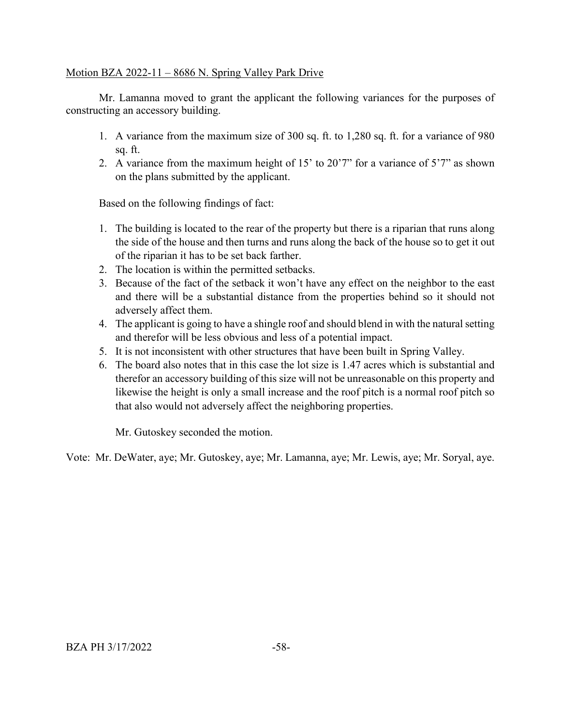## Motion BZA 2022-11 – 8686 N. Spring Valley Park Drive

Mr. Lamanna moved to grant the applicant the following variances for the purposes of constructing an accessory building.

- 1. A variance from the maximum size of 300 sq. ft. to 1,280 sq. ft. for a variance of 980 sq. ft.
- 2. A variance from the maximum height of 15' to 20'7" for a variance of 5'7" as shown on the plans submitted by the applicant.

Based on the following findings of fact:

- 1. The building is located to the rear of the property but there is a riparian that runs along the side of the house and then turns and runs along the back of the house so to get it out of the riparian it has to be set back farther.
- 2. The location is within the permitted setbacks.
- 3. Because of the fact of the setback it won't have any effect on the neighbor to the east and there will be a substantial distance from the properties behind so it should not adversely affect them.
- 4. The applicant is going to have a shingle roof and should blend in with the natural setting and therefor will be less obvious and less of a potential impact.
- 5. It is not inconsistent with other structures that have been built in Spring Valley.
- 6. The board also notes that in this case the lot size is 1.47 acres which is substantial and therefor an accessory building of this size will not be unreasonable on this property and likewise the height is only a small increase and the roof pitch is a normal roof pitch so that also would not adversely affect the neighboring properties.

Mr. Gutoskey seconded the motion.

Vote: Mr. DeWater, aye; Mr. Gutoskey, aye; Mr. Lamanna, aye; Mr. Lewis, aye; Mr. Soryal, aye.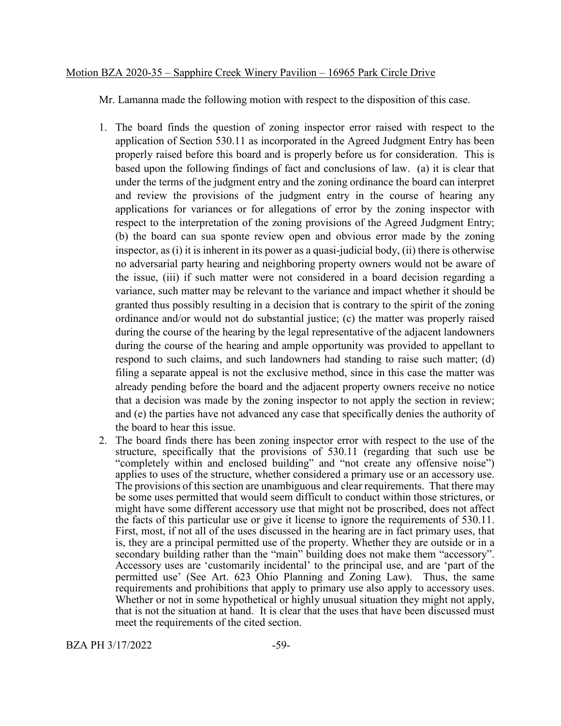#### Motion BZA 2020-35 – Sapphire Creek Winery Pavilion – 16965 Park Circle Drive

Mr. Lamanna made the following motion with respect to the disposition of this case.

- 1. The board finds the question of zoning inspector error raised with respect to the application of Section 530.11 as incorporated in the Agreed Judgment Entry has been properly raised before this board and is properly before us for consideration. This is based upon the following findings of fact and conclusions of law. (a) it is clear that under the terms of the judgment entry and the zoning ordinance the board can interpret and review the provisions of the judgment entry in the course of hearing any applications for variances or for allegations of error by the zoning inspector with respect to the interpretation of the zoning provisions of the Agreed Judgment Entry; (b) the board can sua sponte review open and obvious error made by the zoning inspector, as (i) it is inherent in its power as a quasi-judicial body, (ii) there is otherwise no adversarial party hearing and neighboring property owners would not be aware of the issue, (iii) if such matter were not considered in a board decision regarding a variance, such matter may be relevant to the variance and impact whether it should be granted thus possibly resulting in a decision that is contrary to the spirit of the zoning ordinance and/or would not do substantial justice; (c) the matter was properly raised during the course of the hearing by the legal representative of the adjacent landowners during the course of the hearing and ample opportunity was provided to appellant to respond to such claims, and such landowners had standing to raise such matter; (d) filing a separate appeal is not the exclusive method, since in this case the matter was already pending before the board and the adjacent property owners receive no notice that a decision was made by the zoning inspector to not apply the section in review; and (e) the parties have not advanced any case that specifically denies the authority of the board to hear this issue.
- 2. The board finds there has been zoning inspector error with respect to the use of the structure, specifically that the provisions of 530.11 (regarding that such use be "completely within and enclosed building" and "not create any offensive noise") applies to uses of the structure, whether considered a primary use or an accessory use. The provisions of this section are unambiguous and clear requirements. That there may be some uses permitted that would seem difficult to conduct within those strictures, or might have some different accessory use that might not be proscribed, does not affect the facts of this particular use or give it license to ignore the requirements of 530.11. First, most, if not all of the uses discussed in the hearing are in fact primary uses, that is, they are a principal permitted use of the property. Whether they are outside or in a secondary building rather than the "main" building does not make them "accessory". Accessory uses are 'customarily incidental' to the principal use, and are 'part of the permitted use' (See Art. 623 Ohio Planning and Zoning Law). Thus, the same requirements and prohibitions that apply to primary use also apply to accessory uses. Whether or not in some hypothetical or highly unusual situation they might not apply, that is not the situation at hand. It is clear that the uses that have been discussed must meet the requirements of the cited section.

BZA PH 3/17/2022 -59-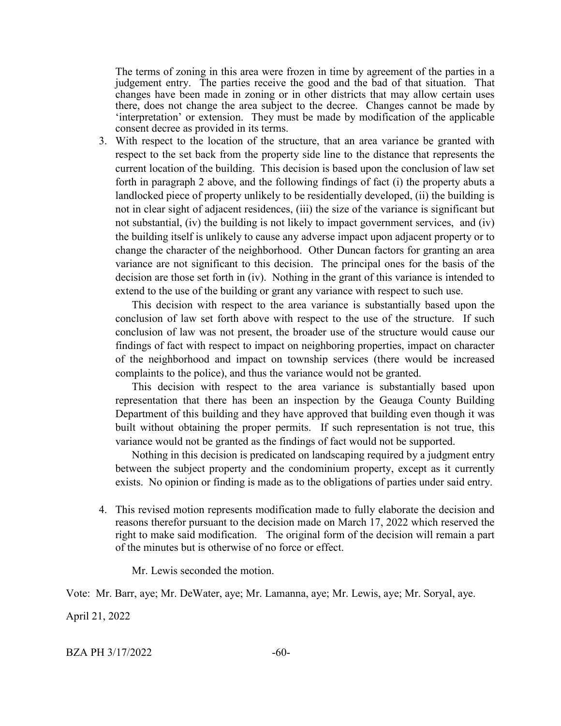The terms of zoning in this area were frozen in time by agreement of the parties in a judgement entry. The parties receive the good and the bad of that situation. That changes have been made in zoning or in other districts that may allow certain uses there, does not change the area subject to the decree. Changes cannot be made by 'interpretation' or extension. They must be made by modification of the applicable consent decree as provided in its terms.

3. With respect to the location of the structure, that an area variance be granted with respect to the set back from the property side line to the distance that represents the current location of the building. This decision is based upon the conclusion of law set forth in paragraph 2 above, and the following findings of fact (i) the property abuts a landlocked piece of property unlikely to be residentially developed, (ii) the building is not in clear sight of adjacent residences, (iii) the size of the variance is significant but not substantial, (iv) the building is not likely to impact government services, and (iv) the building itself is unlikely to cause any adverse impact upon adjacent property or to change the character of the neighborhood. Other Duncan factors for granting an area variance are not significant to this decision. The principal ones for the basis of the decision are those set forth in (iv). Nothing in the grant of this variance is intended to extend to the use of the building or grant any variance with respect to such use.

This decision with respect to the area variance is substantially based upon the conclusion of law set forth above with respect to the use of the structure. If such conclusion of law was not present, the broader use of the structure would cause our findings of fact with respect to impact on neighboring properties, impact on character of the neighborhood and impact on township services (there would be increased complaints to the police), and thus the variance would not be granted.

This decision with respect to the area variance is substantially based upon representation that there has been an inspection by the Geauga County Building Department of this building and they have approved that building even though it was built without obtaining the proper permits. If such representation is not true, this variance would not be granted as the findings of fact would not be supported.

Nothing in this decision is predicated on landscaping required by a judgment entry between the subject property and the condominium property, except as it currently exists. No opinion or finding is made as to the obligations of parties under said entry.

4. This revised motion represents modification made to fully elaborate the decision and reasons therefor pursuant to the decision made on March 17, 2022 which reserved the right to make said modification. The original form of the decision will remain a part of the minutes but is otherwise of no force or effect.

Mr. Lewis seconded the motion.

Vote: Mr. Barr, aye; Mr. DeWater, aye; Mr. Lamanna, aye; Mr. Lewis, aye; Mr. Soryal, aye.

April 21, 2022

BZA PH 3/17/2022 -60-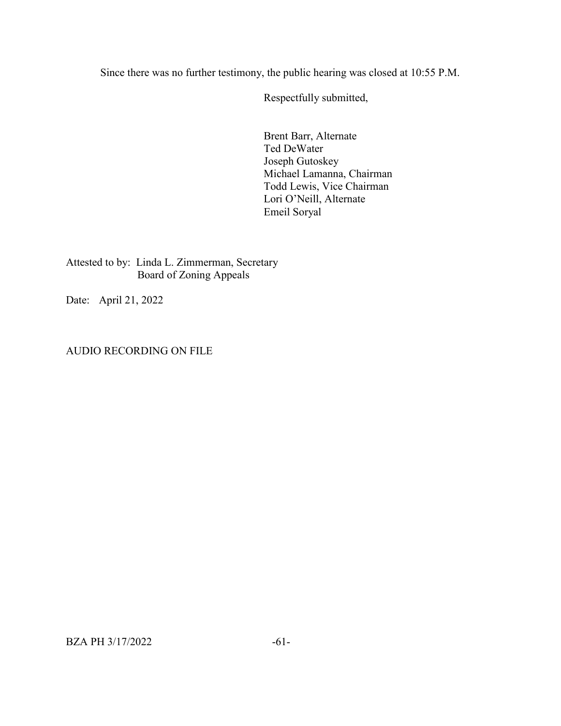Since there was no further testimony, the public hearing was closed at 10:55 P.M.

Respectfully submitted,

Brent Barr, Alternate Ted DeWater Joseph Gutoskey Michael Lamanna, Chairman Todd Lewis, Vice Chairman Lori O'Neill, Alternate Emeil Soryal

Attested to by: Linda L. Zimmerman, Secretary Board of Zoning Appeals

Date: April 21, 2022

AUDIO RECORDING ON FILE

BZA PH 3/17/2022 -61-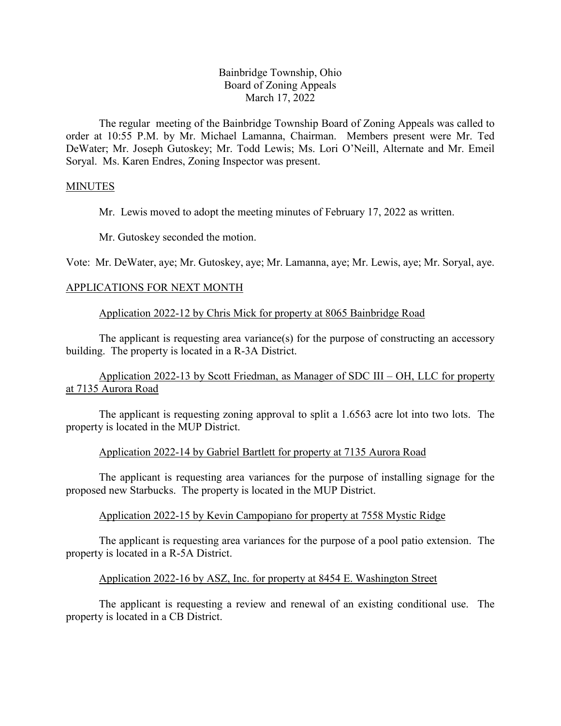## Bainbridge Township, Ohio Board of Zoning Appeals March 17, 2022

The regular meeting of the Bainbridge Township Board of Zoning Appeals was called to order at 10:55 P.M. by Mr. Michael Lamanna, Chairman. Members present were Mr. Ted DeWater; Mr. Joseph Gutoskey; Mr. Todd Lewis; Ms. Lori O'Neill, Alternate and Mr. Emeil Soryal. Ms. Karen Endres, Zoning Inspector was present.

## MINUTES

Mr. Lewis moved to adopt the meeting minutes of February 17, 2022 as written.

Mr. Gutoskey seconded the motion.

Vote: Mr. DeWater, aye; Mr. Gutoskey, aye; Mr. Lamanna, aye; Mr. Lewis, aye; Mr. Soryal, aye.

## APPLICATIONS FOR NEXT MONTH

Application 2022-12 by Chris Mick for property at 8065 Bainbridge Road

The applicant is requesting area variance(s) for the purpose of constructing an accessory building. The property is located in a R-3A District.

Application 2022-13 by Scott Friedman, as Manager of SDC III – OH, LLC for property at 7135 Aurora Road

The applicant is requesting zoning approval to split a 1.6563 acre lot into two lots. The property is located in the MUP District.

## Application 2022-14 by Gabriel Bartlett for property at 7135 Aurora Road

The applicant is requesting area variances for the purpose of installing signage for the proposed new Starbucks. The property is located in the MUP District.

## Application 2022-15 by Kevin Campopiano for property at 7558 Mystic Ridge

The applicant is requesting area variances for the purpose of a pool patio extension. The property is located in a R-5A District.

## Application 2022-16 by ASZ, Inc. for property at 8454 E. Washington Street

The applicant is requesting a review and renewal of an existing conditional use. The property is located in a CB District.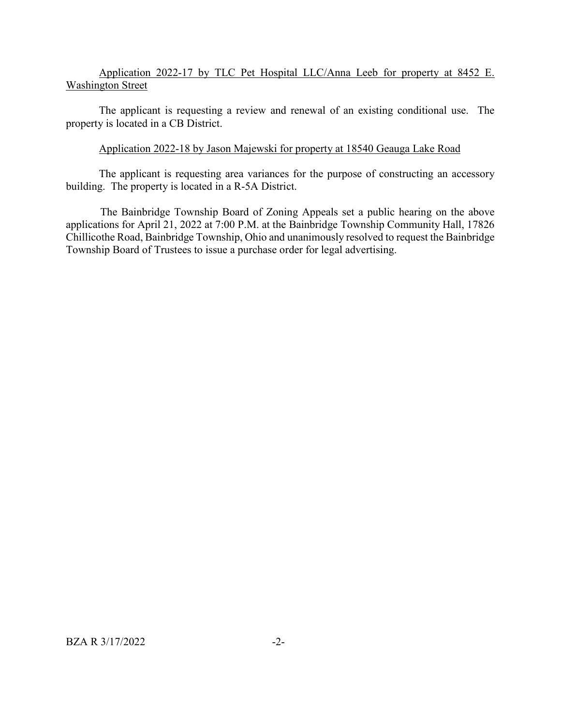## Application 2022-17 by TLC Pet Hospital LLC/Anna Leeb for property at 8452 E. Washington Street

The applicant is requesting a review and renewal of an existing conditional use. The property is located in a CB District.

## Application 2022-18 by Jason Majewski for property at 18540 Geauga Lake Road

The applicant is requesting area variances for the purpose of constructing an accessory building. The property is located in a R-5A District.

The Bainbridge Township Board of Zoning Appeals set a public hearing on the above applications for April 21, 2022 at 7:00 P.M. at the Bainbridge Township Community Hall, 17826 Chillicothe Road, Bainbridge Township, Ohio and unanimously resolved to request the Bainbridge Township Board of Trustees to issue a purchase order for legal advertising.